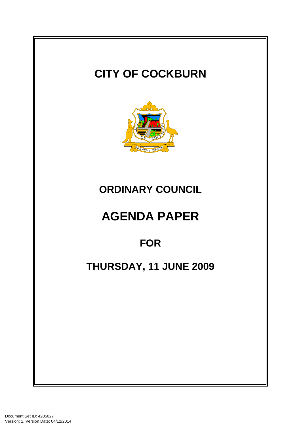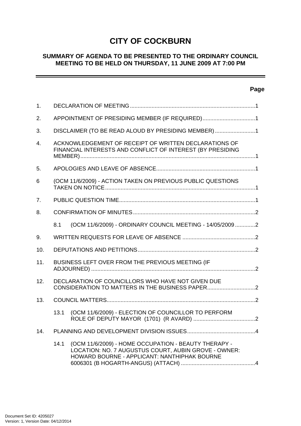# **CITY OF COCKBURN**

# **SUMMARY OF AGENDA TO BE PRESENTED TO THE ORDINARY COUNCIL MEETING TO BE HELD ON THURSDAY, 11 JUNE 2009 AT 7:00 PM**

# **Page**

<u> a shekara t</u>

| 1.               |                                                                                                                                                                      |  |  |
|------------------|----------------------------------------------------------------------------------------------------------------------------------------------------------------------|--|--|
| 2.               | APPOINTMENT OF PRESIDING MEMBER (IF REQUIRED)1                                                                                                                       |  |  |
| 3.               | DISCLAIMER (TO BE READ ALOUD BY PRESIDING MEMBER) 1                                                                                                                  |  |  |
| $\overline{4}$ . | ACKNOWLEDGEMENT OF RECEIPT OF WRITTEN DECLARATIONS OF<br>FINANCIAL INTERESTS AND CONFLICT OF INTEREST (BY PRESIDING                                                  |  |  |
| 5.               |                                                                                                                                                                      |  |  |
| 6                | (OCM 11/6/2009) - ACTION TAKEN ON PREVIOUS PUBLIC QUESTIONS                                                                                                          |  |  |
| 7.               |                                                                                                                                                                      |  |  |
| 8.               |                                                                                                                                                                      |  |  |
|                  | (OCM 11/6/2009) - ORDINARY COUNCIL MEETING - 14/05/2009 2<br>8.1                                                                                                     |  |  |
| 9.               |                                                                                                                                                                      |  |  |
| 10.              |                                                                                                                                                                      |  |  |
| 11.              | BUSINESS LEFT OVER FROM THE PREVIOUS MEETING (IF                                                                                                                     |  |  |
| 12.              | DECLARATION OF COUNCILLORS WHO HAVE NOT GIVEN DUE                                                                                                                    |  |  |
| 13.              |                                                                                                                                                                      |  |  |
|                  | (OCM 11/6/2009) - ELECTION OF COUNCILLOR TO PERFORM<br>13.1                                                                                                          |  |  |
| 14.              |                                                                                                                                                                      |  |  |
|                  | (OCM 11/6/2009) - HOME OCCUPATION - BEAUTY THERAPY -<br>14.1<br>LOCATION: NO. 7 AUGUSTUS COURT, AUBIN GROVE - OWNER:<br>HOWARD BOURNE - APPLICANT: NANTHIPHAK BOURNE |  |  |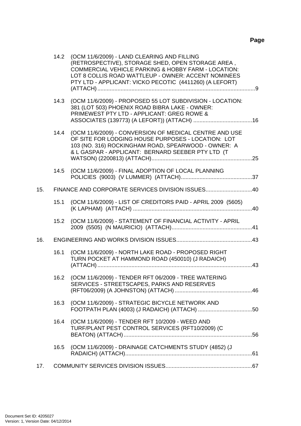|     | 14.2                                             | (OCM 11/6/2009) - LAND CLEARING AND FILLING<br>(RETROSPECTIVE), STORAGE SHED, OPEN STORAGE AREA,<br>COMMERCIAL VEHICLE PARKING & HOBBY FARM - LOCATION:<br>LOT 8 COLLIS ROAD WATTLEUP - OWNER: ACCENT NOMINEES<br>PTY LTD - APPLICANT: VICKO PECOTIC (4411260) (A LEFORT) |  |  |  |
|-----|--------------------------------------------------|---------------------------------------------------------------------------------------------------------------------------------------------------------------------------------------------------------------------------------------------------------------------------|--|--|--|
|     | 14.3                                             | (OCM 11/6/2009) - PROPOSED 55 LOT SUBDIVISION - LOCATION:<br>381 (LOT 503) PHOENIX ROAD BIBRA LAKE - OWNER:<br>PRIMEWEST PTY LTD - APPLICANT: GREG ROWE &                                                                                                                 |  |  |  |
|     | 14.4                                             | (OCM 11/6/2009) - CONVERSION OF MEDICAL CENTRE AND USE<br>OF SITE FOR LODGING HOUSE PURPOSES - LOCATION: LOT<br>103 (NO. 316) ROCKINGHAM ROAD, SPEARWOOD - OWNER: A<br>& L GASPAR - APPLICANT: BERNARD SEEBER PTY LTD (T                                                  |  |  |  |
|     |                                                  | 14.5 (OCM 11/6/2009) - FINAL ADOPTION OF LOCAL PLANNING                                                                                                                                                                                                                   |  |  |  |
| 15. | FINANCE AND CORPORATE SERVICES DIVISION ISSUES40 |                                                                                                                                                                                                                                                                           |  |  |  |
|     | 15.1                                             | (OCM 11/6/2009) - LIST OF CREDITORS PAID - APRIL 2009 (5605)                                                                                                                                                                                                              |  |  |  |
|     | 15.2                                             | (OCM 11/6/2009) - STATEMENT OF FINANCIAL ACTIVITY - APRIL                                                                                                                                                                                                                 |  |  |  |
| 16. |                                                  |                                                                                                                                                                                                                                                                           |  |  |  |
|     | 16.1                                             | (OCM 11/6/2009) - NORTH LAKE ROAD - PROPOSED RIGHT<br>TURN POCKET AT HAMMOND ROAD (450010) (J RADAICH)                                                                                                                                                                    |  |  |  |
|     | 16.2                                             | (OCM 11/6/2009) - TENDER RFT 06/2009 - TREE WATERING<br>SERVICES - STREETSCAPES, PARKS AND RESERVES                                                                                                                                                                       |  |  |  |
|     | 16.3                                             | (OCM 11/6/2009) - STRATEGIC BICYCLE NETWORK AND                                                                                                                                                                                                                           |  |  |  |
|     | 16.4                                             | (OCM 11/6/2009) - TENDER RFT 10/2009 - WEED AND<br>TURF/PLANT PEST CONTROL SERVICES (RFT10/2009) (C                                                                                                                                                                       |  |  |  |
|     | 16.5                                             | (OCM 11/6/2009) - DRAINAGE CATCHMENTS STUDY (4852) (J                                                                                                                                                                                                                     |  |  |  |
| 17. |                                                  |                                                                                                                                                                                                                                                                           |  |  |  |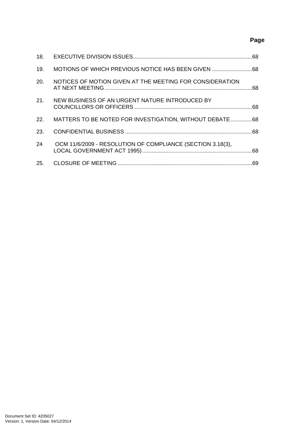# **Page**

| 19. |                                                            |  |
|-----|------------------------------------------------------------|--|
| 20. | NOTICES OF MOTION GIVEN AT THE MEETING FOR CONSIDERATION   |  |
| 21. | NEW BUSINESS OF AN URGENT NATURE INTRODUCED BY             |  |
| 22. | MATTERS TO BE NOTED FOR INVESTIGATION, WITHOUT DEBATE68    |  |
| 23. |                                                            |  |
| 24  | OCM 11/6/2009 - RESOLUTION OF COMPLIANCE (SECTION 3.18(3), |  |
| 25. |                                                            |  |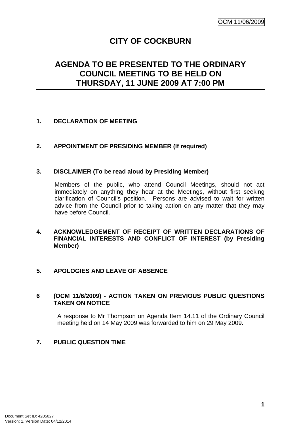# **CITY OF COCKBURN**

# <span id="page-4-0"></span>**AGENDA TO BE PRESENTED TO THE ORDINARY COUNCIL MEETING TO BE HELD ON THURSDAY, 11 JUNE 2009 AT 7:00 PM**

# **1. DECLARATION OF MEETING**

# **2. APPOINTMENT OF PRESIDING MEMBER (If required)**

# **3. DISCLAIMER (To be read aloud by Presiding Member)**

Members of the public, who attend Council Meetings, should not act immediately on anything they hear at the Meetings, without first seeking clarification of Council's position. Persons are advised to wait for written advice from the Council prior to taking action on any matter that they may have before Council.

# **4. ACKNOWLEDGEMENT OF RECEIPT OF WRITTEN DECLARATIONS OF FINANCIAL INTERESTS AND CONFLICT OF INTEREST (by Presiding Member)**

# **5. APOLOGIES AND LEAVE OF ABSENCE**

# **6 (OCM 11/6/2009) - ACTION TAKEN ON PREVIOUS PUBLIC QUESTIONS TAKEN ON NOTICE**

A response to Mr Thompson on Agenda Item 14.11 of the Ordinary Council meeting held on 14 May 2009 was forwarded to him on 29 May 2009.

# **7. PUBLIC QUESTION TIME**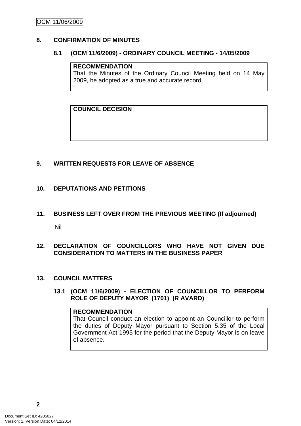# <span id="page-5-0"></span>OCM 11/06/2009

# **8. CONFIRMATION OF MINUTES**

#### **8.1 (OCM 11/6/2009) - ORDINARY COUNCIL MEETING - 14/05/2009**

#### **RECOMMENDATION**

That the Minutes of the Ordinary Council Meeting held on 14 May 2009, be adopted as a true and accurate record

**COUNCIL DECISION** 

# **9. WRITTEN REQUESTS FOR LEAVE OF ABSENCE**

# **10. DEPUTATIONS AND PETITIONS**

**11. BUSINESS LEFT OVER FROM THE PREVIOUS MEETING (If adjourned)** 

Nil

# **12. DECLARATION OF COUNCILLORS WHO HAVE NOT GIVEN DUE CONSIDERATION TO MATTERS IN THE BUSINESS PAPER**

# **13. COUNCIL MATTERS**

**13.1 (OCM 11/6/2009) - ELECTION OF COUNCILLOR TO PERFORM ROLE OF DEPUTY MAYOR (1701) (R AVARD)** 

#### **RECOMMENDATION**

That Council conduct an election to appoint an Councillor to perform the duties of Deputy Mayor pursuant to Section 5.35 of the Local Government Act 1995 for the period that the Deputy Mayor is on leave of absence.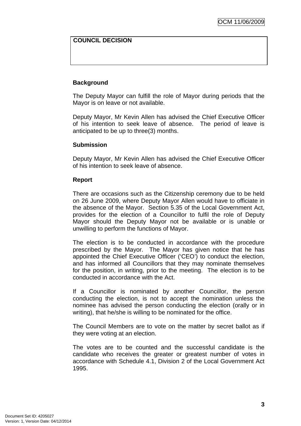# **COUNCIL DECISION**

# **Background**

The Deputy Mayor can fulfill the role of Mayor during periods that the Mayor is on leave or not available.

Deputy Mayor, Mr Kevin Allen has advised the Chief Executive Officer of his intention to seek leave of absence. The period of leave is anticipated to be up to three(3) months.

# **Submission**

Deputy Mayor, Mr Kevin Allen has advised the Chief Executive Officer of his intention to seek leave of absence.

# **Report**

There are occasions such as the Citizenship ceremony due to be held on 26 June 2009, where Deputy Mayor Allen would have to officiate in the absence of the Mayor. Section 5.35 of the Local Government Act, provides for the election of a Councillor to fulfil the role of Deputy Mayor should the Deputy Mayor not be available or is unable or unwilling to perform the functions of Mayor.

The election is to be conducted in accordance with the procedure prescribed by the Mayor. The Mayor has given notice that he has appointed the Chief Executive Officer ('CEO') to conduct the election, and has informed all Councillors that they may nominate themselves for the position, in writing, prior to the meeting. The election is to be conducted in accordance with the Act.

If a Councillor is nominated by another Councillor, the person conducting the election, is not to accept the nomination unless the nominee has advised the person conducting the election (orally or in writing), that he/she is willing to be nominated for the office.

The Council Members are to vote on the matter by secret ballot as if they were voting at an election.

The votes are to be counted and the successful candidate is the candidate who receives the greater or greatest number of votes in accordance with Schedule 4.1, Division 2 of the Local Government Act 1995.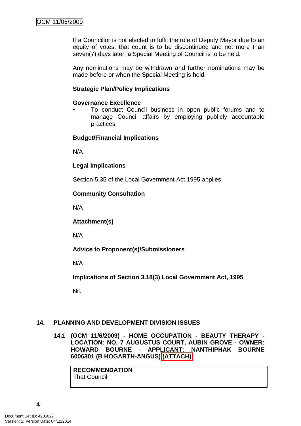<span id="page-7-0"></span>If a Councillor is not elected to fulfil the role of Deputy Mayor due to an equity of votes, that count is to be discontinued and not more than seven(7) days later, a Special Meeting of Council is to be held.

Any nominations may be withdrawn and further nominations may be made before or when the Special Meeting is held.

# **Strategic Plan/Policy Implications**

# **Governance Excellence**

• To conduct Council business in open public forums and to manage Council affairs by employing publicly accountable practices.

# **Budget/Financial Implications**

N/A

# **Legal Implications**

Section 5.35 of the Local Government Act 1995 applies.

# **Community Consultation**

N/A

**Attachment(s)**

N/A

# **Advice to Proponent(s)/Submissioners**

N/A

**Implications of Section 3.18(3) Local Government Act, 1995**

Nil.

# **14. PLANNING AND DEVELOPMENT DIVISION ISSUES**

**14.1 (OCM 11/6/2009) - HOME OCCUPATION - BEAUTY THERAPY - LOCATION: NO. 7 AUGUSTUS COURT, AUBIN GROVE - OWNER: HOWARD BOURNE - APPLICANT: NANTHIPHAK BOURNE 6006301 (B HOGARTH-ANGUS) (ATTACH)** 

**RECOMMENDATION** That Council:

**4**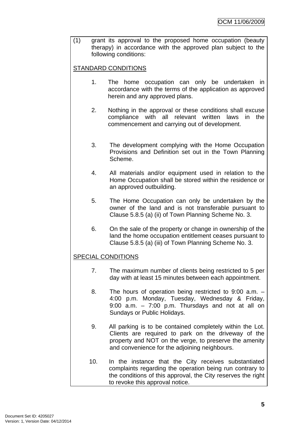(1) grant its approval to the proposed home occupation (beauty therapy) in accordance with the approved plan subject to the following conditions:

# STANDARD CONDITIONS

- 1. The home occupation can only be undertaken in accordance with the terms of the application as approved herein and any approved plans.
- 2. Nothing in the approval or these conditions shall excuse compliance with all relevant written laws in the commencement and carrying out of development.
- 3. The development complying with the Home Occupation Provisions and Definition set out in the Town Planning Scheme.
- 4. All materials and/or equipment used in relation to the Home Occupation shall be stored within the residence or an approved outbuilding.
- 5. The Home Occupation can only be undertaken by the owner of the land and is not transferable pursuant to Clause 5.8.5 (a) (ii) of Town Planning Scheme No. 3.
- 6. On the sale of the property or change in ownership of the land the home occupation entitlement ceases pursuant to Clause 5.8.5 (a) (iii) of Town Planning Scheme No. 3.

# SPECIAL CONDITIONS

- 7. The maximum number of clients being restricted to 5 per day with at least 15 minutes between each appointment.
- 8. The hours of operation being restricted to 9:00 a.m. 4:00 p.m. Monday, Tuesday, Wednesday & Friday, 9:00 a.m. – 7:00 p.m. Thursdays and not at all on Sundays or Public Holidays.
- 9. All parking is to be contained completely within the Lot. Clients are required to park on the driveway of the property and NOT on the verge, to preserve the amenity and convenience for the adjoining neighbours.
- 10. In the instance that the City receives substantiated complaints regarding the operation being run contrary to the conditions of this approval, the City reserves the right to revoke this approval notice.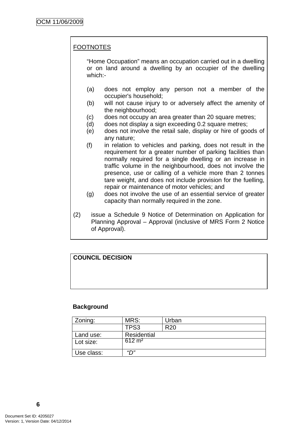# FOOTNOTES

"Home Occupation" means an occupation carried out in a dwelling or on land around a dwelling by an occupier of the dwelling which:-

- (a) does not employ any person not a member of the occupier's household;
- (b) will not cause injury to or adversely affect the amenity of the neighbourhood;
- (c) does not occupy an area greater than 20 square metres;
- (d) does not display a sign exceeding 0.2 square metres;
- (e) does not involve the retail sale, display or hire of goods of any nature;
- (f) in relation to vehicles and parking, does not result in the requirement for a greater number of parking facilities than normally required for a single dwelling or an increase in traffic volume in the neighbourhood, does not involve the presence, use or calling of a vehicle more than 2 tonnes tare weight, and does not include provision for the fuelling, repair or maintenance of motor vehicles; and
- (g) does not involve the use of an essential service of greater capacity than normally required in the zone.
- (2) issue a Schedule 9 Notice of Determination on Application for Planning Approval – Approval (inclusive of MRS Form 2 Notice of Approval).

# **COUNCIL DECISION**

#### **Background**

| Zoning:    | MRS:              | Urban           |
|------------|-------------------|-----------------|
|            | TPS3              | R <sub>20</sub> |
| Land use:  | Residential       |                 |
| Lot size:  | $612 \text{ m}^2$ |                 |
| Use class: | "ר″               |                 |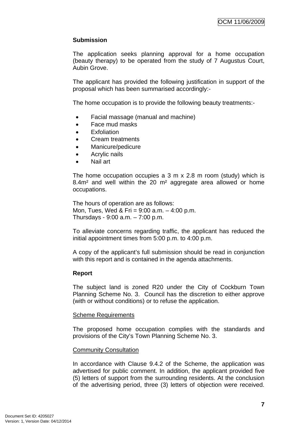# **Submission**

The application seeks planning approval for a home occupation (beauty therapy) to be operated from the study of 7 Augustus Court, Aubin Grove.

The applicant has provided the following justification in support of the proposal which has been summarised accordingly:-

The home occupation is to provide the following beauty treatments:-

- Facial massage (manual and machine)
- Face mud masks
- Exfoliation
- Cream treatments
- Manicure/pedicure
- Acrylic nails
- Nail art

The home occupation occupies a 3 m x 2.8 m room (study) which is 8.4m² and well within the 20 m² aggregate area allowed or home occupations.

The hours of operation are as follows: Mon, Tues, Wed & Fri =  $9:00$  a.m.  $-4:00$  p.m. Thursdays - 9:00 a.m. – 7:00 p.m.

To alleviate concerns regarding traffic, the applicant has reduced the initial appointment times from 5:00 p.m. to 4:00 p.m.

A copy of the applicant's full submission should be read in conjunction with this report and is contained in the agenda attachments.

# **Report**

The subject land is zoned R20 under the City of Cockburn Town Planning Scheme No. 3. Council has the discretion to either approve (with or without conditions) or to refuse the application.

#### Scheme Requirements

The proposed home occupation complies with the standards and provisions of the City's Town Planning Scheme No. 3.

# Community Consultation

In accordance with Clause 9.4.2 of the Scheme, the application was advertised for public comment. In addition, the applicant provided five (5) letters of support from the surrounding residents. At the conclusion of the advertising period, three (3) letters of objection were received.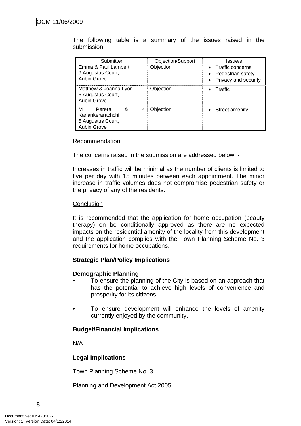| Submitter                                                                     | Objection/Support | Issue/s                                                                        |
|-------------------------------------------------------------------------------|-------------------|--------------------------------------------------------------------------------|
| Emma & Paul Lambert<br>9 Augustus Court,<br>Aubin Grove                       | Objection         | • Traffic concerns<br>• Pedestrian safety<br>Privacy and security<br>$\bullet$ |
| Matthew & Joanna Lyon<br>6 Augustus Court,<br><b>Aubin Grove</b>              | Objection         | Traffic                                                                        |
| м<br>&<br>Perera<br>Κ<br>Kanankerarachchi<br>5 Augustus Court,<br>Aubin Grove | Objection         | • Street amenity                                                               |

The following table is a summary of the issues raised in the submission:

#### Recommendation

The concerns raised in the submission are addressed below: -

Increases in traffic will be minimal as the number of clients is limited to five per day with 15 minutes between each appointment. The minor increase in traffic volumes does not compromise pedestrian safety or the privacy of any of the residents.

#### **Conclusion**

It is recommended that the application for home occupation (beauty therapy) on be conditionally approved as there are no expected impacts on the residential amenity of the locality from this development and the application complies with the Town Planning Scheme No. 3 requirements for home occupations.

# **Strategic Plan/Policy Implications**

# **Demographic Planning**

- To ensure the planning of the City is based on an approach that has the potential to achieve high levels of convenience and prosperity for its citizens.
- To ensure development will enhance the levels of amenity currently enjoyed by the community.

# **Budget/Financial Implications**

N/A

# **Legal Implications**

Town Planning Scheme No. 3.

Planning and Development Act 2005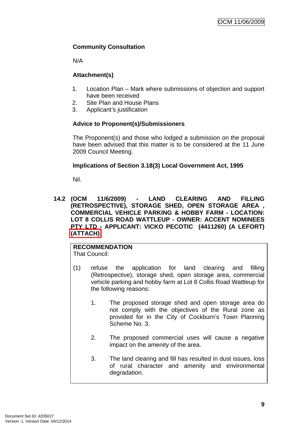# <span id="page-12-0"></span>**Community Consultation**

N/A

# **Attachment(s)**

- 1. Location Plan Mark where submissions of objection and support have been received
- 2. Site Plan and House Plans
- 3. Applicant's justification

# **Advice to Proponent(s)/Submissioners**

The Proponent(s) and those who lodged a submission on the proposal have been advised that this matter is to be considered at the 11 June 2009 Council Meeting.

# **Implications of Section 3.18(3) Local Government Act, 1995**

Nil.

# **14.2 (OCM 11/6/2009) - LAND CLEARING AND FILLING (RETROSPECTIVE), STORAGE SHED, OPEN STORAGE AREA , COMMERCIAL VEHICLE PARKING & HOBBY FARM - LOCATION: LOT 8 COLLIS ROAD WATTLEUP - OWNER: ACCENT NOMINEES PTY LTD - APPLICANT: VICKO PECOTIC (4411260) (A LEFORT) (ATTACH)**

# **RECOMMENDATION**

That Council:

- (1) refuse the application for land clearing and filling (Retrospective), storage shed, open storage area, commercial vehicle parking and hobby farm at Lot 8 Collis Road Wattleup for the following reasons:
	- 1. The proposed storage shed and open storage area do not comply with the objectives of the Rural zone as provided for in the City of Cockburn's Town Planning Scheme No. 3.
	- 2. The proposed commercial uses will cause a negative impact on the amenity of the area.
	- 3. The land clearing and fill has resulted in dust issues, loss of rural character and amenity and environmental degradation.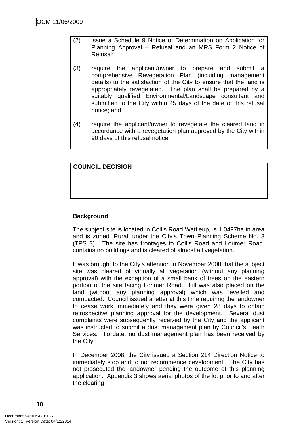- (2) issue a Schedule 9 Notice of Determination on Application for Planning Approval – Refusal and an MRS Form 2 Notice of Refusal;
- (3) require the applicant/owner to prepare and submit a comprehensive Revegetation Plan (including management details) to the satisfaction of the City to ensure that the land is appropriately revegetated. The plan shall be prepared by a suitably qualified Environmental/Landscape consultant and submitted to the City within 45 days of the date of this refusal notice; and
- (4) require the applicant/owner to revegetate the cleared land in accordance with a revegetation plan approved by the City within 90 days of this refusal notice.

# **COUNCIL DECISION**

# **Background**

The subject site is located in Collis Road Wattleup, is 1.0497ha in area and is zoned 'Rural' under the City's Town Planning Scheme No. 3 (TPS 3). The site has frontages to Collis Road and Lorimer Road, contains no buildings and is cleared of almost all vegetation.

It was brought to the City's attention in November 2008 that the subject site was cleared of virtually all vegetation (without any planning approval) with the exception of a small bank of trees on the eastern portion of the site facing Lorimer Road. Fill was also placed on the land (without any planning approval) which was levelled and compacted. Council issued a letter at this time requiring the landowner to cease work immediately and they were given 28 days to obtain retrospective planning approval for the development. Several dust complaints were subsequently received by the City and the applicant was instructed to submit a dust management plan by Council's Heath Services. To date, no dust management plan has been received by the City.

In December 2008, the City issued a Section 214 Direction Notice to immediately stop and to not recommence development. The City has not prosecuted the landowner pending the outcome of this planning application. Appendix 3 shows aerial photos of the lot prior to and after the clearing.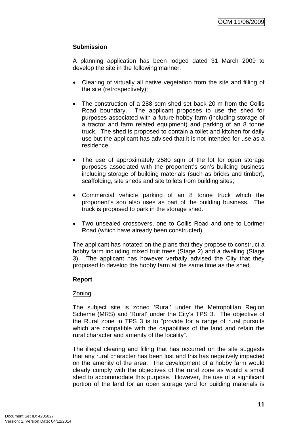# **Submission**

A planning application has been lodged dated 31 March 2009 to develop the site in the following manner:

- Clearing of virtually all native vegetation from the site and filling of the site (retrospectively);
- The construction of a 288 sqm shed set back 20 m from the Collis Road boundary. The applicant proposes to use the shed for purposes associated with a future hobby farm (including storage of a tractor and farm related equipment) and parking of an 8 tonne truck. The shed is proposed to contain a toilet and kitchen for daily use but the applicant has advised that it is not intended for use as a residence;
- The use of approximately 2580 sqm of the lot for open storage purposes associated with the proponent's son's building business including storage of building materials (such as bricks and timber), scaffolding, site sheds and site toilets from building sites;
- Commercial vehicle parking of an 8 tonne truck which the proponent's son also uses as part of the building business. The truck is proposed to park in the storage shed.
- Two unsealed crossovers, one to Collis Road and one to Lorimer Road (which have already been constructed).

The applicant has notated on the plans that they propose to construct a hobby farm including mixed fruit trees (Stage 2) and a dwelling (Stage 3). The applicant has however verbally advised the City that they proposed to develop the hobby farm at the same time as the shed.

# **Report**

# Zoning

The subject site is zoned 'Rural' under the Metropolitan Region Scheme (MRS) and 'Rural' under the City's TPS 3. The objective of the Rural zone in TPS 3 is to "provide for a range of rural pursuits which are compatible with the capabilities of the land and retain the rural character and amenity of the locality".

The illegal clearing and filling that has occurred on the site suggests that any rural character has been lost and this has negatively impacted on the amenity of the area. The development of a hobby farm would clearly comply with the objectives of the rural zone as would a small shed to accommodate this purpose. However, the use of a significant portion of the land for an open storage yard for building materials is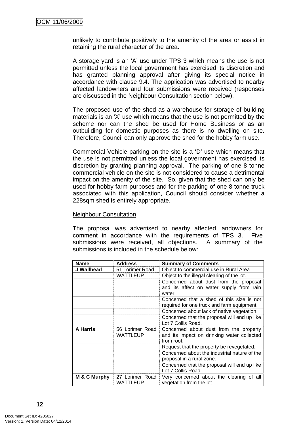unlikely to contribute positively to the amenity of the area or assist in retaining the rural character of the area.

A storage yard is an 'A' use under TPS 3 which means the use is not permitted unless the local government has exercised its discretion and has granted planning approval after giving its special notice in accordance with clause 9.4. The application was advertised to nearby affected landowners and four submissions were received (responses are discussed in the Neighbour Consultation section below).

The proposed use of the shed as a warehouse for storage of building materials is an 'X' use which means that the use is not permitted by the scheme nor can the shed be used for Home Business or as an outbuilding for domestic purposes as there is no dwelling on site. Therefore, Council can only approve the shed for the hobby farm use.

Commercial Vehicle parking on the site is a 'D' use which means that the use is not permitted unless the local government has exercised its discretion by granting planning approval. The parking of one 8 tonne commercial vehicle on the site is not considered to cause a detrimental impact on the amenity of the site. So, given that the shed can only be used for hobby farm purposes and for the parking of one 8 tonne truck associated with this application, Council should consider whether a 228sqm shed is entirely appropriate.

#### Neighbour Consultation

The proposal was advertised to nearby affected landowners for comment in accordance with the requirements of TPS 3. Five submissions were received, all objections. A summary of the submissions is included in the schedule below:

| <b>Name</b>     | <b>Address</b>                     | <b>Summary of Comments</b>                                                                         |
|-----------------|------------------------------------|----------------------------------------------------------------------------------------------------|
| J Wallhead      | 51 Lorimer Road                    | Object to commercial use in Rural Area.                                                            |
|                 | <b>WATTLEUP</b>                    | Object to the illegal clearing of the lot.                                                         |
|                 |                                    | Concerned about dust from the proposal<br>and its affect on water supply from rain<br>water.       |
|                 |                                    | Concerned that a shed of this size is not<br>required for one truck and farm equipment.            |
|                 |                                    | Concerned about lack of native vegetation.                                                         |
|                 |                                    | Concerned that the proposal will end up like<br>Lot 7 Collis Road.                                 |
| <b>A Harris</b> | 56 Lorimer Road<br><b>WATTLEUP</b> | Concerned about dust from the property<br>and its impact on drinking water collected<br>from roof. |
|                 |                                    | Request that the property be revegetated.                                                          |
|                 |                                    | Concerned about the industrial nature of the<br>proposal in a rural zone.                          |
|                 |                                    | Concerned that the proposal will end up like<br>Lot 7 Collis Road.                                 |
| M & C Murphy    | 27 Lorimer Road<br>WATTLEUP        | Very concerned about the clearing of all<br>vegetation from the lot.                               |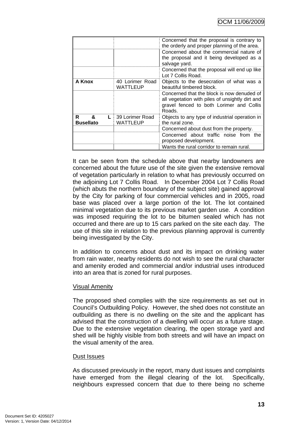|                            |                                        | Concerned that the proposal is contrary to<br>the orderly and proper planning of the area.<br>Concerned about the commercial nature of<br>the proposal and it being developed as a<br>salvage yard. |
|----------------------------|----------------------------------------|-----------------------------------------------------------------------------------------------------------------------------------------------------------------------------------------------------|
|                            |                                        | Concerned that the proposal will end up like<br>Lot 7 Collis Road.                                                                                                                                  |
| A Knox                     | 40 Lorimer Road<br>WATTLEUP            | Objects to the desecration of what was a<br>beautiful timbered block.                                                                                                                               |
|                            |                                        | Concerned that the block is now denuded of<br>all vegetation with piles of unsightly dirt and<br>gravel fenced to both Lorimer and Collis<br>Roads.                                                 |
| R<br>&<br><b>Busellato</b> | $L$ 39 Lorimer Road<br><b>WATTLEUP</b> | Objects to any type of industrial operation in<br>the rural zone.                                                                                                                                   |
|                            |                                        | Concerned about dust from the property.                                                                                                                                                             |
|                            |                                        | Concerned about traffic noise from the<br>proposed development.                                                                                                                                     |
|                            |                                        | Wants the rural corridor to remain rural.                                                                                                                                                           |

It can be seen from the schedule above that nearby landowners are concerned about the future use of the site given the extensive removal of vegetation particularly in relation to what has previously occurred on the adjoining Lot 7 Collis Road. In December 2004 Lot 7 Collis Road (which abuts the northern boundary of the subject site) gained approval by the City for parking of four commercial vehicles and in 2005, road base was placed over a large portion of the lot. The lot contained minimal vegetation due to its previous market garden use. A condition was imposed requiring the lot to be bitumen sealed which has not occurred and there are up to 15 cars parked on the site each day. The use of this site in relation to the previous planning approval is currently being investigated by the City.

In addition to concerns about dust and its impact on drinking water from rain water, nearby residents do not wish to see the rural character and amenity eroded and commercial and/or industrial uses introduced into an area that is zoned for rural purposes.

# Visual Amenity

The proposed shed complies with the size requirements as set out in Council's Outbuilding Policy. However, the shed does not constitute an outbuilding as there is no dwelling on the site and the applicant has advised that the construction of a dwelling will occur as a future stage. Due to the extensive vegetation clearing, the open storage yard and shed will be highly visible from both streets and will have an impact on the visual amenity of the area.

# Dust Issues

As discussed previously in the report, many dust issues and complaints have emerged from the illegal clearing of the lot. Specifically, neighbours expressed concern that due to there being no scheme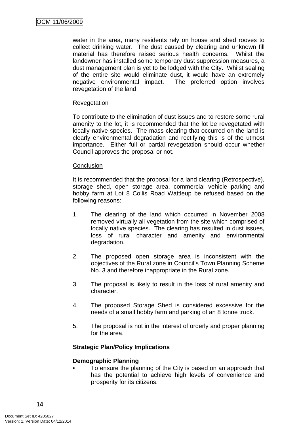water in the area, many residents rely on house and shed rooves to collect drinking water. The dust caused by clearing and unknown fill material has therefore raised serious health concerns. Whilst the landowner has installed some temporary dust suppression measures, a dust management plan is yet to be lodged with the City. Whilst sealing of the entire site would eliminate dust, it would have an extremely negative environmental impact. The preferred option involves revegetation of the land.

#### **Revegetation**

To contribute to the elimination of dust issues and to restore some rural amenity to the lot, it is recommended that the lot be revegetated with locally native species. The mass clearing that occurred on the land is clearly environmental degradation and rectifying this is of the utmost importance. Either full or partial revegetation should occur whether Council approves the proposal or not.

#### **Conclusion**

It is recommended that the proposal for a land clearing (Retrospective), storage shed, open storage area, commercial vehicle parking and hobby farm at Lot 8 Collis Road Wattleup be refused based on the following reasons:

- 1. The clearing of the land which occurred in November 2008 removed virtually all vegetation from the site which comprised of locally native species. The clearing has resulted in dust issues, loss of rural character and amenity and environmental degradation.
- 2. The proposed open storage area is inconsistent with the objectives of the Rural zone in Council's Town Planning Scheme No. 3 and therefore inappropriate in the Rural zone.
- 3. The proposal is likely to result in the loss of rural amenity and character.
- 4. The proposed Storage Shed is considered excessive for the needs of a small hobby farm and parking of an 8 tonne truck.
- 5. The proposal is not in the interest of orderly and proper planning for the area.

# **Strategic Plan/Policy Implications**

# **Demographic Planning**

• To ensure the planning of the City is based on an approach that has the potential to achieve high levels of convenience and prosperity for its citizens.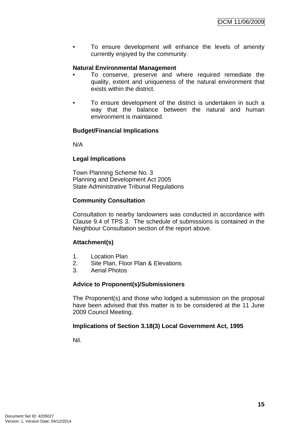• To ensure development will enhance the levels of amenity currently enjoyed by the community.

# **Natural Environmental Management**

- To conserve, preserve and where required remediate the quality, extent and uniqueness of the natural environment that exists within the district.
- To ensure development of the district is undertaken in such a way that the balance between the natural and human environment is maintained.

# **Budget/Financial Implications**

N/A

# **Legal Implications**

Town Planning Scheme No. 3 Planning and Development Act 2005 State Administrative Tribunal Regulations

# **Community Consultation**

Consultation to nearby landowners was conducted in accordance with Clause 9.4 of TPS 3. The schedule of submissions is contained in the Neighbour Consultation section of the report above.

# **Attachment(s)**

- 1. Location Plan
- 2. Site Plan, Floor Plan & Elevations
- 3. Aerial Photos

# **Advice to Proponent(s)/Submissioners**

The Proponent(s) and those who lodged a submission on the proposal have been advised that this matter is to be considered at the 11 June 2009 Council Meeting.

# **Implications of Section 3.18(3) Local Government Act, 1995**

Nil.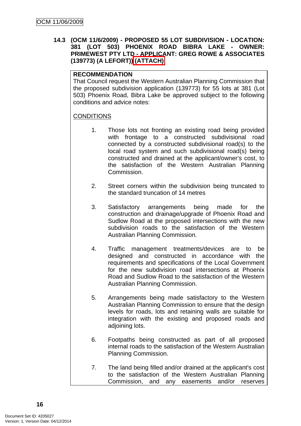# <span id="page-19-0"></span>**14.3 (OCM 11/6/2009) - PROPOSED 55 LOT SUBDIVISION - LOCATION: 381 (LOT 503) PHOENIX ROAD BIBRA LAKE - OWNER: PRIMEWEST PTY LTD - APPLICANT: GREG ROWE & ASSOCIATES (139773) (A LEFORT)) (ATTACH)**

# **RECOMMENDATION**

That Council request the Western Australian Planning Commission that the proposed subdivision application (139773) for 55 lots at 381 (Lot 503) Phoenix Road, Bibra Lake be approved subject to the following conditions and advice notes:

# **CONDITIONS**

- 1. Those lots not fronting an existing road being provided with frontage to a constructed subdivisional road connected by a constructed subdivisional road(s) to the local road system and such subdivisional road(s) being constructed and drained at the applicant/owner's cost, to the satisfaction of the Western Australian Planning Commission.
- 2. Street corners within the subdivision being truncated to the standard truncation of 14 metres
- 3. Satisfactory arrangements being made for the construction and drainage/upgrade of Phoenix Road and Sudlow Road at the proposed intersections with the new subdivision roads to the satisfaction of the Western Australian Planning Commission.
- 4. Traffic management treatments/devices are to be designed and constructed in accordance with the requirements and specifications of the Local Government for the new subdivision road intersections at Phoenix Road and Sudlow Road to the satisfaction of the Western Australian Planning Commission.
- 5. Arrangements being made satisfactory to the Western Australian Planning Commission to ensure that the design levels for roads, lots and retaining walls are suitable for integration with the existing and proposed roads and adjoining lots.
- 6. Footpaths being constructed as part of all proposed internal roads to the satisfaction of the Western Australian Planning Commission.
- 7. The land being filled and/or drained at the applicant's cost to the satisfaction of the Western Australian Planning Commission, and any easements and/or reserves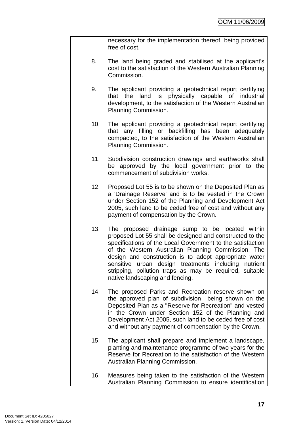necessary for the implementation thereof, being provided free of cost.

- 8. The land being graded and stabilised at the applicant's cost to the satisfaction of the Western Australian Planning Commission.
- 9. The applicant providing a geotechnical report certifying that the land is physically capable of industrial development, to the satisfaction of the Western Australian Planning Commission.
- 10. The applicant providing a geotechnical report certifying that any filling or backfilling has been adequately compacted, to the satisfaction of the Western Australian Planning Commission.
- 11. Subdivision construction drawings and earthworks shall be approved by the local government prior to the commencement of subdivision works.
- 12. Proposed Lot 55 is to be shown on the Deposited Plan as a 'Drainage Reserve' and is to be vested in the Crown under Section 152 of the Planning and Development Act 2005, such land to be ceded free of cost and without any payment of compensation by the Crown.
- 13. The proposed drainage sump to be located within proposed Lot 55 shall be designed and constructed to the specifications of the Local Government to the satisfaction of the Western Australian Planning Commission. The design and construction is to adopt appropriate water sensitive urban design treatments including nutrient stripping, pollution traps as may be required, suitable native landscaping and fencing.
- 14. The proposed Parks and Recreation reserve shown on the approved plan of subdivision being shown on the Deposited Plan as a "Reserve for Recreation" and vested in the Crown under Section 152 of the Planning and Development Act 2005, such land to be ceded free of cost and without any payment of compensation by the Crown.
- 15. The applicant shall prepare and implement a landscape, planting and maintenance programme of two years for the Reserve for Recreation to the satisfaction of the Western Australian Planning Commission.
- 16. Measures being taken to the satisfaction of the Western Australian Planning Commission to ensure identification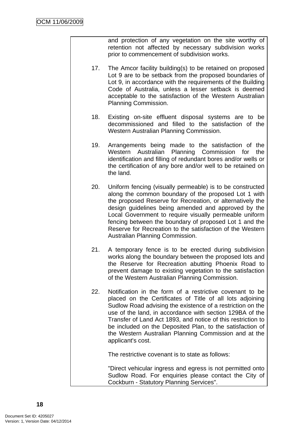and protection of any vegetation on the site worthy of retention not affected by necessary subdivision works prior to commencement of subdivision works.

- 17. The Amcor facility building(s) to be retained on proposed Lot 9 are to be setback from the proposed boundaries of Lot 9, in accordance with the requirements of the Building Code of Australia, unless a lesser setback is deemed acceptable to the satisfaction of the Western Australian Planning Commission.
- 18. Existing on-site effluent disposal systems are to be decommissioned and filled to the satisfaction of the Western Australian Planning Commission.
- 19. Arrangements being made to the satisfaction of the Western Australian Planning Commission for the identification and filling of redundant bores and/or wells or the certification of any bore and/or well to be retained on the land.
- 20. Uniform fencing (visually permeable) is to be constructed along the common boundary of the proposed Lot 1 with the proposed Reserve for Recreation, or alternatively the design guidelines being amended and approved by the Local Government to require visually permeable uniform fencing between the boundary of proposed Lot 1 and the Reserve for Recreation to the satisfaction of the Western Australian Planning Commission.
- 21. A temporary fence is to be erected during subdivision works along the boundary between the proposed lots and the Reserve for Recreation abutting Phoenix Road to prevent damage to existing vegetation to the satisfaction of the Western Australian Planning Commission.
- 22. Notification in the form of a restrictive covenant to be placed on the Certificates of Title of all lots adjoining Sudlow Road advising the existence of a restriction on the use of the land, in accordance with section 129BA of the Transfer of Land Act 1893, and notice of this restriction to be included on the Deposited Plan, to the satisfaction of the Western Australian Planning Commission and at the applicant's cost.

The restrictive covenant is to state as follows:

"Direct vehicular ingress and egress is not permitted onto Sudlow Road. For enquiries please contact the City of Cockburn - Statutory Planning Services".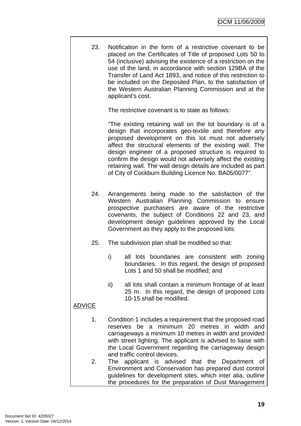23. Notification in the form of a restrictive covenant to be placed on the Certificates of Title of proposed Lots 50 to 54 (inclusive) advising the existence of a restriction on the use of the land, in accordance with section 129BA of the Transfer of Land Act 1893, and notice of this restriction to be included on the Deposited Plan, to the satisfaction of the Western Australian Planning Commission and at the applicant's cost.

The restrictive covenant is to state as follows:

"The existing retaining wall on the lot boundary is of a design that incorporates geo-textile and therefore any proposed development on this lot must not adversely affect the structural elements of the existing wall. The design engineer of a proposed structure is required to confirm the design would not adversely affect the existing retaining wall. The wall design details are included as part of City of Cockburn Building Licence No. BA05/0077".

- 24. Arrangements being made to the satisfaction of the Western Australian Planning Commission to ensure prospective purchasers are aware of the restrictive covenants, the subject of Conditions 22 and 23, and development design guidelines approved by the Local Government as they apply to the proposed lots.
- 25. The subdivision plan shall be modified so that:
	- i) all lots boundaries are consistent with zoning boundaries. In this regard, the design of proposed Lots 1 and 50 shall be modified; and
	- ii) all lots shall contain a minimum frontage of at least 25 m. In this regard, the design of proposed Lots 10-15 shall be modified.

# **ADVICE**

- 1. Condition 1 includes a requirement that the proposed road reserves be a minimum 20 metres in width and carriageways a minimum 10 metres in width and provided with street lighting. The applicant is advised to liaise with the Local Government regarding the carriageway design and traffic control devices.
- 2. The applicant is advised that the Department of Environment and Conservation has prepared dust control guidelines for development sites, which inter alia, outline the procedures for the preparation of Dust Management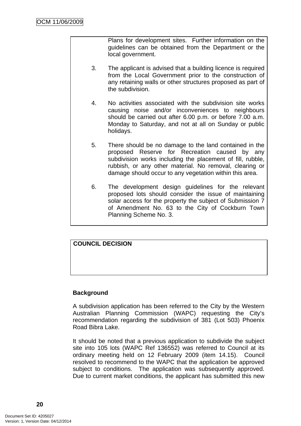Plans for development sites. Further information on the guidelines can be obtained from the Department or the local government.

- 3. The applicant is advised that a building licence is required from the Local Government prior to the construction of any retaining walls or other structures proposed as part of the subdivision.
- 4. No activities associated with the subdivision site works causing noise and/or inconveniences to neighbours should be carried out after 6.00 p.m. or before 7.00 a.m. Monday to Saturday, and not at all on Sunday or public holidays.
- 5. There should be no damage to the land contained in the proposed Reserve for Recreation caused by any subdivision works including the placement of fill, rubble, rubbish, or any other material. No removal, clearing or damage should occur to any vegetation within this area.
- 6. The development design guidelines for the relevant proposed lots should consider the issue of maintaining solar access for the property the subject of Submission 7 of Amendment No. 63 to the City of Cockburn Town Planning Scheme No. 3.

# **COUNCIL DECISION**

# **Background**

A subdivision application has been referred to the City by the Western Australian Planning Commission (WAPC) requesting the City's recommendation regarding the subdivision of 381 (Lot 503) Phoenix Road Bibra Lake.

It should be noted that a previous application to subdivide the subject site into 105 lots (WAPC Ref 136552) was referred to Council at its ordinary meeting held on 12 February 2009 (item 14.15). Council resolved to recommend to the WAPC that the application be approved subject to conditions. The application was subsequently approved. Due to current market conditions, the applicant has submitted this new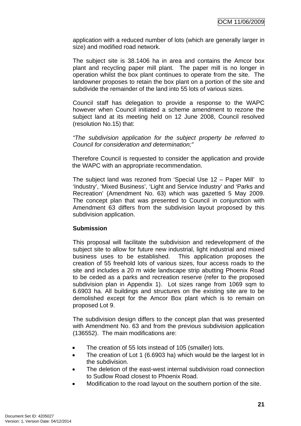application with a reduced number of lots (which are generally larger in size) and modified road network.

The subject site is 38.1406 ha in area and contains the Amcor box plant and recycling paper mill plant. The paper mill is no longer in operation whilst the box plant continues to operate from the site. The landowner proposes to retain the box plant on a portion of the site and subdivide the remainder of the land into 55 lots of various sizes.

Council staff has delegation to provide a response to the WAPC however when Council initiated a scheme amendment to rezone the subject land at its meeting held on 12 June 2008, Council resolved (resolution No.15) that:

*"The subdivision application for the subject property be referred to Council for consideration and determination;"* 

Therefore Council is requested to consider the application and provide the WAPC with an appropriate recommendation.

The subject land was rezoned from 'Special Use 12 – Paper Mill' to 'Industry', 'Mixed Business', 'Light and Service Industry' and 'Parks and Recreation' (Amendment No. 63) which was gazetted 5 May 2009. The concept plan that was presented to Council in conjunction with Amendment 63 differs from the subdivision layout proposed by this subdivision application.

# **Submission**

This proposal will facilitate the subdivision and redevelopment of the subject site to allow for future new industrial, light industrial and mixed business uses to be established. This application proposes the creation of 55 freehold lots of various sizes, four access roads to the site and includes a 20 m wide landscape strip abutting Phoenix Road to be ceded as a parks and recreation reserve (refer to the proposed subdivision plan in Appendix 1). Lot sizes range from 1069 sqm to 6.6903 ha. All buildings and structures on the existing site are to be demolished except for the Amcor Box plant which is to remain on proposed Lot 9.

The subdivision design differs to the concept plan that was presented with Amendment No. 63 and from the previous subdivision application (136552). The main modifications are:

- The creation of 55 lots instead of 105 (smaller) lots.
- The creation of Lot 1 (6.6903 ha) which would be the largest lot in the subdivision.
- The deletion of the east-west internal subdivision road connection to Sudlow Road closest to Phoenix Road.
- Modification to the road layout on the southern portion of the site.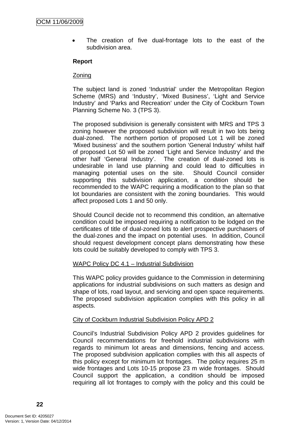The creation of five dual-frontage lots to the east of the subdivision area.

# **Report**

# Zoning

The subject land is zoned 'Industrial' under the Metropolitan Region Scheme (MRS) and 'Industry', 'Mixed Business', 'Light and Service Industry' and 'Parks and Recreation' under the City of Cockburn Town Planning Scheme No. 3 (TPS 3).

The proposed subdivision is generally consistent with MRS and TPS 3 zoning however the proposed subdivision will result in two lots being dual-zoned. The northern portion of proposed Lot 1 will be zoned 'Mixed business' and the southern portion 'General Industry' whilst half of proposed Lot 50 will be zoned 'Light and Service Industry' and the other half 'General Industry'. The creation of dual-zoned lots is undesirable in land use planning and could lead to difficulties in managing potential uses on the site. Should Council consider supporting this subdivision application, a condition should be recommended to the WAPC requiring a modification to the plan so that lot boundaries are consistent with the zoning boundaries. This would affect proposed Lots 1 and 50 only.

Should Council decide not to recommend this condition, an alternative condition could be imposed requiring a notification to be lodged on the certificates of title of dual-zoned lots to alert prospective purchasers of the dual-zones and the impact on potential uses. In addition, Council should request development concept plans demonstrating how these lots could be suitably developed to comply with TPS 3.

# WAPC Policy DC 4.1 – Industrial Subdivision

This WAPC policy provides guidance to the Commission in determining applications for industrial subdivisions on such matters as design and shape of lots, road layout, and servicing and open space requirements. The proposed subdivision application complies with this policy in all aspects.

# City of Cockburn Industrial Subdivision Policy APD 2

Council's Industrial Subdivision Policy APD 2 provides guidelines for Council recommendations for freehold industrial subdivisions with regards to minimum lot areas and dimensions, fencing and access. The proposed subdivision application complies with this all aspects of this policy except for minimum lot frontages. The policy requires 25 m wide frontages and Lots 10-15 propose 23 m wide frontages. Should Council support the application, a condition should be imposed requiring all lot frontages to comply with the policy and this could be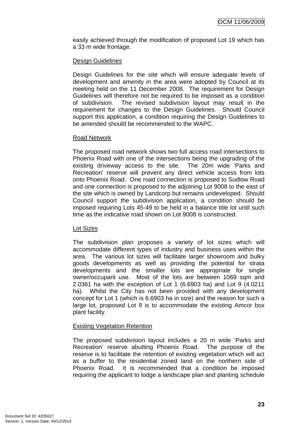easily achieved through the modification of proposed Lot 19 which has a 33 m wide frontage.

# Design Guidelines

Design Guidelines for the site which will ensure adequate levels of development and amenity in the area were adopted by Council at its meeting held on the 11 December 2008. The requirement for Design Guidelines will therefore not be required to be imposed as a condition of subdivision. The revised subdivision layout may result in the requirement for changes to the Design Guidelines. Should Council support this application, a condition requiring the Design Guidelines to be amended should be recommended to the WAPC.

# Road Network

The proposed road network shows two full access road intersections to Phoenix Road with one of the intersections being the upgrading of the existing driveway access to the site. The 20m wide 'Parks and Recreation' reserve will prevent any direct vehicle access from lots onto Phoenix Road. One road connection is proposed to Sudlow Road and one connection is proposed to the adjoining Lot 9008 to the east of the site which is owned by Landcorp but remains undeveloped. Should Council support the subdivision application, a condition should be imposed requiring Lots 45-49 to be held in a balance title lot until such time as the indicative road shown on Lot 9008 is constructed.

# Lot Sizes

The subdivision plan proposes a variety of lot sizes which will accommodate different types of industry and business uses within the area. The various lot sizes will facilitate larger showroom and bulky goods developments as well as providing the potential for strata developments and the smaller lots are appropriate for single owner/occupant use. Most of the lots are between 1069 sqm and 2.0361 ha with the exception of Lot 1 (6.6903 ha) and Lot 9 (4.0211 ha). Whilst the City has not been provided with any development concept for Lot 1 (which is 6.6903 ha in size) and the reason for such a large lot, proposed Lot 9 is to accommodate the existing Amcor box plant facility.

# Existing Vegetation Retention

The proposed subdivision layout includes a 20 m wide 'Parks and Recreation' reserve abutting Phoenix Road. The purpose of the reserve is to facilitate the retention of existing vegetation which will act as a buffer to the residential zoned land on the northern side of Phoenix Road. It is recommended that a condition be imposed requiring the applicant to lodge a landscape plan and planting schedule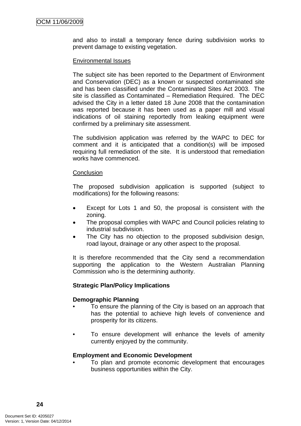and also to install a temporary fence during subdivision works to prevent damage to existing vegetation.

#### Environmental Issues

The subject site has been reported to the Department of Environment and Conservation (DEC) as a known or suspected contaminated site and has been classified under the Contaminated Sites Act 2003. The site is classified as Contaminated – Remediation Required. The DEC advised the City in a letter dated 18 June 2008 that the contamination was reported because it has been used as a paper mill and visual indications of oil staining reportedly from leaking equipment were confirmed by a preliminary site assessment.

The subdivision application was referred by the WAPC to DEC for comment and it is anticipated that a condition(s) will be imposed requiring full remediation of the site. It is understood that remediation works have commenced.

#### **Conclusion**

The proposed subdivision application is supported (subject to modifications) for the following reasons:

- Except for Lots 1 and 50, the proposal is consistent with the zoning.
- The proposal complies with WAPC and Council policies relating to industrial subdivision.
- The City has no objection to the proposed subdivision design, road layout, drainage or any other aspect to the proposal.

It is therefore recommended that the City send a recommendation supporting the application to the Western Australian Planning Commission who is the determining authority.

# **Strategic Plan/Policy Implications**

#### **Demographic Planning**

- To ensure the planning of the City is based on an approach that has the potential to achieve high levels of convenience and prosperity for its citizens.
- To ensure development will enhance the levels of amenity currently enjoyed by the community.

#### **Employment and Economic Development**

• To plan and promote economic development that encourages business opportunities within the City.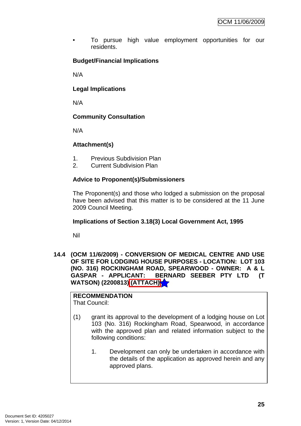<span id="page-28-0"></span>• To pursue high value employment opportunities for our residents.

# **Budget/Financial Implications**

N/A

**Legal Implications** 

N/A

# **Community Consultation**

N/A

# **Attachment(s)**

- 1. Previous Subdivision Plan
- 2. Current Subdivision Plan

# **Advice to Proponent(s)/Submissioners**

The Proponent(s) and those who lodged a submission on the proposal have been advised that this matter is to be considered at the 11 June 2009 Council Meeting.

# **Implications of Section 3.18(3) Local Government Act, 1995**

Nil

**14.4 (OCM 11/6/2009) - CONVERSION OF MEDICAL CENTRE AND USE OF SITE FOR LODGING HOUSE PURPOSES - LOCATION: LOT 103 (NO. 316) ROCKINGHAM ROAD, SPEARWOOD - OWNER: A & L GASPAR - APPLICANT: BERNARD SEEBER PTY LTD (T WATSON) (2200813) (ATTACH)** 

**RECOMMENDATION** That Council:

- (1) grant its approval to the development of a lodging house on Lot 103 (No. 316) Rockingham Road, Spearwood, in accordance with the approved plan and related information subject to the following conditions:
	- 1. Development can only be undertaken in accordance with the details of the application as approved herein and any approved plans.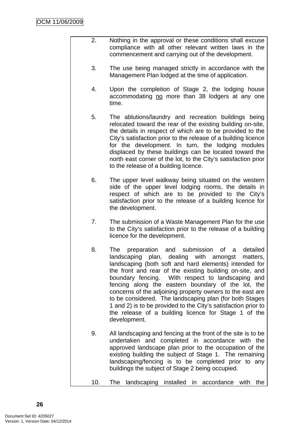- 2. Nothing in the approval or these conditions shall excuse compliance with all other relevant written laws in the commencement and carrying out of the development.
- 3. The use being managed strictly in accordance with the Management Plan lodged at the time of application.
- 4. Upon the completion of Stage 2, the lodging house accommodating no more than 38 lodgers at any one time.
- 5. The ablutions/laundry and recreation buildings being relocated toward the rear of the existing building on-site, the details in respect of which are to be provided to the City's satisfaction prior to the release of a building licence for the development. In turn, the lodging modules displaced by these buildings can be located toward the north east corner of the lot, to the City's satisfaction prior to the release of a building licence.
- 6. The upper level walkway being situated on the western side of the upper level lodging rooms, the details in respect of which are to be provided to the City's satisfaction prior to the release of a building licence for the development.
- 7. The submission of a Waste Management Plan for the use to the City's satisfaction prior to the release of a building licence for the development.
- 8. The preparation and submission of a detailed landscaping plan, dealing with amongst matters, landscaping (both soft and hard elements) intended for the front and rear of the existing building on-site, and boundary fencing. With respect to landscaping and fencing along the eastern boundary of the lot, the concerns of the adjoining property owners to the east are to be considered. The landscaping plan (for both Stages 1 and 2) is to be provided to the City's satisfaction prior to the release of a building licence for Stage 1 of the development.
- 9. All landscaping and fencing at the front of the site is to be undertaken and completed in accordance with the approved landscape plan prior to the occupation of the existing building the subject of Stage 1. The remaining landscaping/fencing is to be completed prior to any buildings the subject of Stage 2 being occupied.
- 10. The landscaping installed in accordance with the

**26**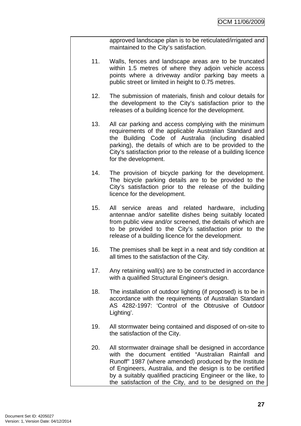approved landscape plan is to be reticulated/irrigated and maintained to the City's satisfaction.

- 11. Walls, fences and landscape areas are to be truncated within 1.5 metres of where they adjoin vehicle access points where a driveway and/or parking bay meets a public street or limited in height to 0.75 metres.
- 12. The submission of materials, finish and colour details for the development to the City's satisfaction prior to the releases of a building licence for the development.
- 13. All car parking and access complying with the minimum requirements of the applicable Australian Standard and the Building Code of Australia (including disabled parking), the details of which are to be provided to the City's satisfaction prior to the release of a building licence for the development.
- 14. The provision of bicycle parking for the development. The bicycle parking details are to be provided to the City's satisfaction prior to the release of the building licence for the development.
- 15. All service areas and related hardware, including antennae and/or satellite dishes being suitably located from public view and/or screened, the details of which are to be provided to the City's satisfaction prior to the release of a building licence for the development.
- 16. The premises shall be kept in a neat and tidy condition at all times to the satisfaction of the City.
- 17. Any retaining wall(s) are to be constructed in accordance with a qualified Structural Engineer's design.
- 18. The installation of outdoor lighting (if proposed) is to be in accordance with the requirements of Australian Standard AS 4282-1997: 'Control of the Obtrusive of Outdoor Lighting'.
- 19. All stormwater being contained and disposed of on-site to the satisfaction of the City.
- 20. All stormwater drainage shall be designed in accordance with the document entitled "Australian Rainfall and Runoff" 1987 (where amended) produced by the Institute of Engineers, Australia, and the design is to be certified by a suitably qualified practicing Engineer or the like, to the satisfaction of the City, and to be designed on the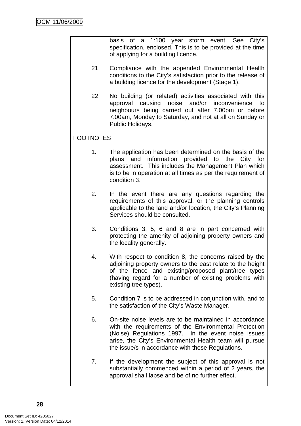basis of a 1:100 year storm event. See City's specification, enclosed. This is to be provided at the time of applying for a building licence.

- 21. Compliance with the appended Environmental Health conditions to the City's satisfaction prior to the release of a building licence for the development (Stage 1).
- 22. No building (or related) activities associated with this approval causing noise and/or inconvenience to neighbours being carried out after 7.00pm or before 7.00am, Monday to Saturday, and not at all on Sunday or Public Holidays.

# FOOTNOTES

- 1. The application has been determined on the basis of the plans and information provided to the City for assessment. This includes the Management Plan which is to be in operation at all times as per the requirement of condition 3.
- 2. In the event there are any questions regarding the requirements of this approval, or the planning controls applicable to the land and/or location, the City's Planning Services should be consulted.
- 3. Conditions 3, 5, 6 and 8 are in part concerned with protecting the amenity of adjoining property owners and the locality generally.
- 4. With respect to condition 8, the concerns raised by the adjoining property owners to the east relate to the height of the fence and existing/proposed plant/tree types (having regard for a number of existing problems with existing tree types).
- 5. Condition 7 is to be addressed in conjunction with, and to the satisfaction of the City's Waste Manager.
- 6. On-site noise levels are to be maintained in accordance with the requirements of the Environmental Protection (Noise) Regulations 1997. In the event noise issues arise, the City's Environmental Health team will pursue the issue/s in accordance with these Regulations.
- 7. If the development the subject of this approval is not substantially commenced within a period of 2 years, the approval shall lapse and be of no further effect.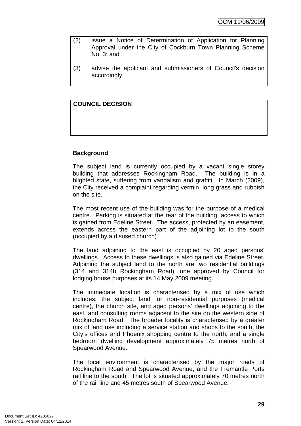- (2) issue a Notice of Determination of Application for Planning Approval under the City of Cockburn Town Planning Scheme No. 3; and
- (3) advise the applicant and submissioners of Council's decision accordingly.

# **COUNCIL DECISION**

# **Background**

The subject land is currently occupied by a vacant single storey building that addresses Rockingham Road. The building is in a blighted state, suffering from vandalism and graffiti. In March (2009), the City received a complaint regarding vermin, long grass and rubbish on the site.

The most recent use of the building was for the purpose of a medical centre. Parking is situated at the rear of the building, access to which is gained from Edeline Street. The access, protected by an easement, extends across the eastern part of the adjoining lot to the south (occupied by a disused church).

The land adjoining to the east is occupied by 20 aged persons' dwellings. Access to these dwellings is also gained via Edeline Street. Adjoining the subject land to the north are two residential buildings (314 and 314b Rockingham Road), one approved by Council for lodging house purposes at its 14 May 2009 meeting.

The immediate location is characterised by a mix of use which includes: the subject land for non-residential purposes (medical centre), the church site, and aged persons' dwellings adjoining to the east, and consulting rooms adjacent to the site on the western side of Rockingham Road. The broader locality is characterised by a greater mix of land use including a service station and shops to the south, the City's offices and Phoenix shopping centre to the north, and a single bedroom dwelling development approximately 75 metres north of Spearwood Avenue.

The local environment is characterised by the major roads of Rockingham Road and Spearwood Avenue, and the Fremantle Ports rail line to the south. The lot is situated approximately 70 metres north of the rail line and 45 metres south of Spearwood Avenue.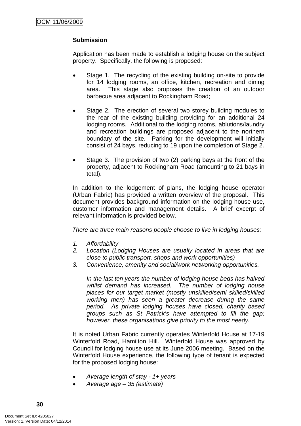# **Submission**

Application has been made to establish a lodging house on the subject property. Specifically, the following is proposed:

- Stage 1. The recycling of the existing building on-site to provide for 14 lodging rooms, an office, kitchen, recreation and dining area. This stage also proposes the creation of an outdoor barbecue area adjacent to Rockingham Road;
- Stage 2. The erection of several two storey building modules to the rear of the existing building providing for an additional 24 lodging rooms. Additional to the lodging rooms, ablutions/laundry and recreation buildings are proposed adjacent to the northern boundary of the site. Parking for the development will initially consist of 24 bays, reducing to 19 upon the completion of Stage 2.
- Stage 3. The provision of two (2) parking bays at the front of the property, adjacent to Rockingham Road (amounting to 21 bays in total).

In addition to the lodgement of plans, the lodging house operator (Urban Fabric) has provided a written overview of the proposal. This document provides background information on the lodging house use, customer information and management details. A brief excerpt of relevant information is provided below.

*There are three main reasons people choose to live in lodging houses:* 

- *1. Affordability*
- *2. Location (Lodging Houses are usually located in areas that are close to public transport, shops and work opportunities)*
- *3. Convenience, amenity and social/work networking opportunities.*

*In the last ten years the number of lodging house beds has halved whilst demand has increased. The number of lodging house places for our target market (mostly unskilled/semi skilled/skilled working men) has seen a greater decrease during the same period. As private lodging houses have closed, charity based groups such as St Patrick's have attempted to fill the gap; however, these organisations give priority to the most needy.* 

It is noted Urban Fabric currently operates Winterfold House at 17-19 Winterfold Road, Hamilton Hill. Winterfold House was approved by Council for lodging house use at its June 2006 meeting. Based on the Winterfold House experience, the following type of tenant is expected for the proposed lodging house:

- *Average length of stay 1+ years*
- *Average age 35 (estimate)*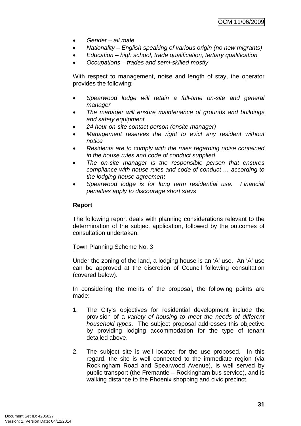- *Gender all male*
- *Nationality English speaking of various origin (no new migrants)*
- *Education high school, trade qualification, tertiary qualification*
- *Occupations trades and semi-skilled mostly*

With respect to management, noise and length of stay, the operator provides the following:

- *Spearwood lodge will retain a full-time on-site and general manager*
- *The manager will ensure maintenance of grounds and buildings and safety equipment*
- *24 hour on-site contact person (onsite manager)*
- *Management reserves the right to evict any resident without notice*
- *Residents are to comply with the rules regarding noise contained in the house rules and code of conduct supplied*
- *The on-site manager is the responsible person that ensures compliance with house rules and code of conduct … according to the lodging house agreement*
- *Spearwood lodge is for long term residential use. Financial penalties apply to discourage short stays*

# **Report**

The following report deals with planning considerations relevant to the determination of the subject application, followed by the outcomes of consultation undertaken.

# Town Planning Scheme No. 3

Under the zoning of the land, a lodging house is an 'A' use. An 'A' use can be approved at the discretion of Council following consultation (covered below).

In considering the merits of the proposal, the following points are made:

- 1. The City's objectives for residential development include the provision of a *variety of housing to meet the needs of different household types*. The subject proposal addresses this objective by providing lodging accommodation for the type of tenant detailed above.
- 2. The subject site is well located for the use proposed. In this regard, the site is well connected to the immediate region (via Rockingham Road and Spearwood Avenue), is well served by public transport (the Fremantle – Rockingham bus service), and is walking distance to the Phoenix shopping and civic precinct.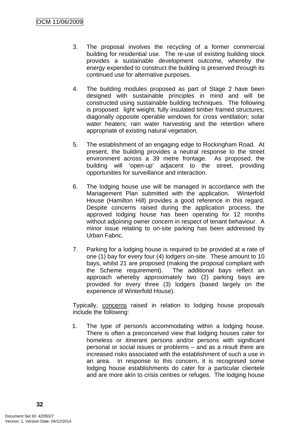- 3. The proposal involves the recycling of a former commercial building for residential use. The re-use of existing building stock provides a sustainable development outcome, whereby the energy expended to construct the building is preserved through its continued use for alternative purposes.
- 4. The building modules proposed as part of Stage 2 have been designed with sustainable principles in mind and will be constructed using sustainable building techniques. The following is proposed: light weight, fully insulated timber framed structures; diagonally opposite operable windows for cross ventilation; solar water heaters; rain water harvesting and the retention where appropriate of existing natural vegetation.
- 5. The establishment of an engaging edge to Rockingham Road. At present, the building provides a neutral response to the street environment across a 39 metre frontage. As proposed, the building will 'open-up' adjacent to the street, providing opportunities for surveillance and interaction.
- 6. The lodging house use will be managed in accordance with the Management Plan submitted with the application. Winterfold House (Hamilton Hill) provides a good reference in this regard. Despite concerns raised during the application process, the approved lodging house has been operating for 12 months without adjoining owner concern in respect of tenant behaviour. A minor issue relating to on-site parking has been addressed by Urban Fabric.
- 7. Parking for a lodging house is required to be provided at a rate of one (1) bay for every four (4) lodgers on-site. These amount to 10 bays, whilst 21 are proposed (making the proposal compliant with the Scheme requirement). The additional bays reflect an approach whereby approximately two (2) parking bays are provided for every three (3) lodgers (based largely on the experience of Winterfold House).

Typically, concerns raised in relation to lodging house proposals include the following:

1. The type of person/s accommodating within a lodging house. There is often a preconceived view that lodging houses cater for homeless or itinerant persons and/or persons with significant personal or social issues or problems – and as a result there are increased risks associated with the establishment of such a use in an area. In response to this concern, it is recognised some lodging house establishments do cater for a particular clientele and are more akin to crisis centres or refuges. The lodging house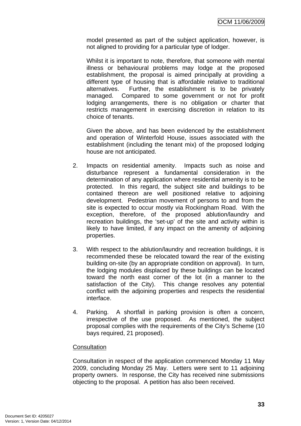model presented as part of the subject application, however, is not aligned to providing for a particular type of lodger.

Whilst it is important to note, therefore, that someone with mental illness or behavioural problems may lodge at the proposed establishment, the proposal is aimed principally at providing a different type of housing that is affordable relative to traditional alternatives. Further, the establishment is to be privately managed. Compared to some government or not for profit lodging arrangements, there is no obligation or charter that restricts management in exercising discretion in relation to its choice of tenants.

Given the above, and has been evidenced by the establishment and operation of Winterfold House, issues associated with the establishment (including the tenant mix) of the proposed lodging house are not anticipated.

- 2. Impacts on residential amenity. Impacts such as noise and disturbance represent a fundamental consideration in the determination of any application where residential amenity is to be protected. In this regard, the subject site and buildings to be contained thereon are well positioned relative to adjoining development. Pedestrian movement of persons to and from the site is expected to occur mostly via Rockingham Road. With the exception, therefore, of the proposed ablution/laundry and recreation buildings, the 'set-up' of the site and activity within is likely to have limited, if any impact on the amenity of adjoining properties.
- 3. With respect to the ablution/laundry and recreation buildings, it is recommended these be relocated toward the rear of the existing building on-site (by an appropriate condition on approval). In turn, the lodging modules displaced by these buildings can be located toward the north east corner of the lot (in a manner to the satisfaction of the City). This change resolves any potential conflict with the adjoining properties and respects the residential interface.
- 4. Parking. A shortfall in parking provision is often a concern, irrespective of the use proposed. As mentioned, the subject proposal complies with the requirements of the City's Scheme (10 bays required, 21 proposed).

#### **Consultation**

Consultation in respect of the application commenced Monday 11 May 2009, concluding Monday 25 May. Letters were sent to 11 adjoining property owners. In response, the City has received nine submissions objecting to the proposal. A petition has also been received.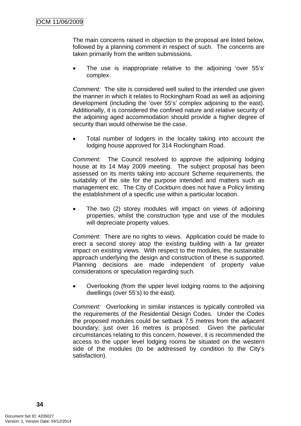The main concerns raised in objection to the proposal are listed below, followed by a planning comment in respect of such. The concerns are taken primarily from the written submissions.

• The use is inappropriate relative to the adjoining 'over 55's' complex.

*Comment:* The site is considered well suited to the intended use given the manner in which it relates to Rockingham Road as well as adjoining development (including the 'over 55's' complex adjoining to the east). Additionally, it is considered the confined nature and relative security of the adjoining aged accommodation should provide a higher degree of security than would otherwise be the case.

• Total number of lodgers in the locality taking into account the lodging house approved for 314 Rockingham Road.

*Comment:* The Council resolved to approve the adjoining lodging house at its 14 May 2009 meeting. The subject proposal has been assessed on its merits taking into account Scheme requirements, the suitability of the site for the purpose intended and matters such as management etc. The City of Cockburn does not have a Policy limiting the establishment of a specific use within a particular location.

• The two (2) storey modules will impact on views of adjoining properties, whilst the construction type and use of the modules will depreciate property values.

*Comment:* There are no rights to views. Application could be made to erect a second storey atop the existing building with a far greater impact on existing views. With respect to the modules, the sustainable approach underlying the design and construction of these is supported. Planning decisions are made independent of property value considerations or speculation regarding such.

• Overlooking (from the upper level lodging rooms to the adjoining dwellings (over 55's) to the east).

*Comment:* Overlooking in similar instances is typically controlled via the requirements of the Residential Design Codes. Under the Codes the proposed modules could be setback 7.5 metres from the adjacent boundary; just over 16 metres is proposed. Given the particular circumstances relating to this concern, however, it is recommended the access to the upper level lodging rooms be situated on the western side of the modules (to be addressed by condition to the City's satisfaction).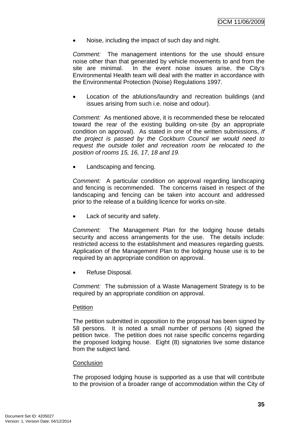• Noise, including the impact of such day and night.

*Comment:* The management intentions for the use should ensure noise other than that generated by vehicle movements to and from the site are minimal. In the event noise issues arise, the City's Environmental Health team will deal with the matter in accordance with the Environmental Protection (Noise) Regulations 1997.

• Location of the ablutions/laundry and recreation buildings (and issues arising from such i.e. noise and odour).

*Comment:* As mentioned above, it is recommended these be relocated toward the rear of the existing building on-site (by an appropriate condition on approval). As stated in one of the written submissions, *If the project is passed by the Cockburn Council we would need to request the outside toilet and recreation room be relocated to the position of rooms 15, 16, 17, 18 and 19*.

Landscaping and fencing.

*Comment:* A particular condition on approval regarding landscaping and fencing is recommended. The concerns raised in respect of the landscaping and fencing can be taken into account and addressed prior to the release of a building licence for works on-site.

Lack of security and safety.

*Comment:* The Management Plan for the lodging house details security and access arrangements for the use. The details include: restricted access to the establishment and measures regarding guests. Application of the Management Plan to the lodging house use is to be required by an appropriate condition on approval.

Refuse Disposal.

*Comment:* The submission of a Waste Management Strategy is to be required by an appropriate condition on approval.

#### **Petition**

The petition submitted in opposition to the proposal has been signed by 58 persons. It is noted a small number of persons (4) signed the petition twice. The petition does not raise specific concerns regarding the proposed lodging house. Eight (8) signatories live some distance from the subject land.

#### **Conclusion**

The proposed lodging house is supported as a use that will contribute to the provision of a broader range of accommodation within the City of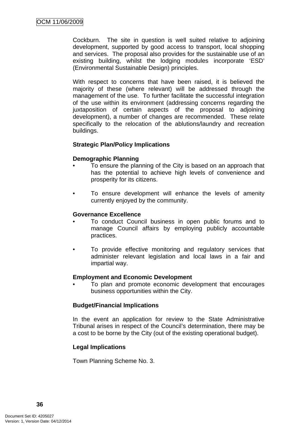Cockburn. The site in question is well suited relative to adjoining development, supported by good access to transport, local shopping and services. The proposal also provides for the sustainable use of an existing building, whilst the lodging modules incorporate 'ESD' (Environmental Sustainable Design) principles.

With respect to concerns that have been raised, it is believed the majority of these (where relevant) will be addressed through the management of the use. To further facilitate the successful integration of the use within its environment (addressing concerns regarding the juxtaposition of certain aspects of the proposal to adjoining development), a number of changes are recommended. These relate specifically to the relocation of the ablutions/laundry and recreation buildings.

#### **Strategic Plan/Policy Implications**

#### **Demographic Planning**

- To ensure the planning of the City is based on an approach that has the potential to achieve high levels of convenience and prosperity for its citizens.
- To ensure development will enhance the levels of amenity currently enjoyed by the community.

#### **Governance Excellence**

- To conduct Council business in open public forums and to manage Council affairs by employing publicly accountable practices.
- To provide effective monitoring and regulatory services that administer relevant legislation and local laws in a fair and impartial way.

#### **Employment and Economic Development**

• To plan and promote economic development that encourages business opportunities within the City.

#### **Budget/Financial Implications**

In the event an application for review to the State Administrative Tribunal arises in respect of the Council's determination, there may be a cost to be borne by the City (out of the existing operational budget).

#### **Legal Implications**

Town Planning Scheme No. 3.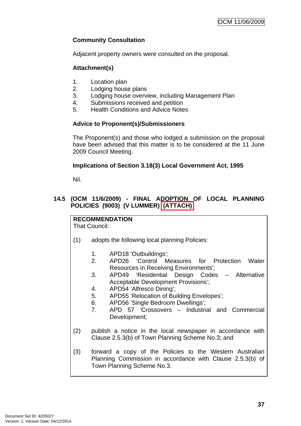# **Community Consultation**

Adjacent property owners were consulted on the proposal.

# **Attachment(s)**

- 1. Location plan
- 2. Lodging house plans
- 3. Lodging house overview, including Management Plan
- 4. Submissions received and petition
- 5. Health Conditions and Advice Notes

# **Advice to Proponent(s)/Submissioners**

The Proponent(s) and those who lodged a submission on the proposal have been advised that this matter is to be considered at the 11 June 2009 Council Meeting.

# **Implications of Section 3.18(3) Local Government Act, 1995**

Nil.

# **14.5 (OCM 11/6/2009) - FINAL ADOPTION OF LOCAL PLANNING POLICIES (9003) (V LUMMER) (ATTACH)**

# **RECOMMENDATION**

That Council:

- (1) adopts the following local planning Policies:
	- 1. APD18 'Outbuildings';
	- 2. APD26 'Control Measures for Protection Water Resources in Receiving Environments';
	- 3. APD49 'Residential Design Codes Alternative Acceptable Development Provisions';
	- 4. APD54 'Alfresco Dining';
	- 5. APD55 'Relocation of Building Envelopes';
	- 6. APD56 'Single Bedroom Dwellings';
	- 7. APD 57 'Crossovers Industrial and Commercial Development;
- (2) publish a notice in the local newspaper in accordance with Clause 2.5.3(b) of Town Planning Scheme No.3; and
- (3) forward a copy of the Policies to the Western Australian Planning Commission in accordance with Clause 2.5.3(b) of Town Planning Scheme No.3.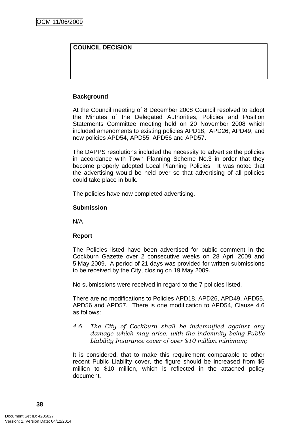# **COUNCIL DECISION**

## **Background**

At the Council meeting of 8 December 2008 Council resolved to adopt the Minutes of the Delegated Authorities, Policies and Position Statements Committee meeting held on 20 November 2008 which included amendments to existing policies APD18, APD26, APD49, and new policies APD54, APD55, APD56 and APD57.

The DAPPS resolutions included the necessity to advertise the policies in accordance with Town Planning Scheme No.3 in order that they become properly adopted Local Planning Policies. It was noted that the advertising would be held over so that advertising of all policies could take place in bulk.

The policies have now completed advertising.

#### **Submission**

N/A

# **Report**

The Policies listed have been advertised for public comment in the Cockburn Gazette over 2 consecutive weeks on 28 April 2009 and 5 May 2009. A period of 21 days was provided for written submissions to be received by the City, closing on 19 May 2009.

No submissions were received in regard to the 7 policies listed.

There are no modifications to Policies APD18, APD26, APD49, APD55, APD56 and APD57. There is one modification to APD54, Clause 4.6 as follows:

*4.6 The City of Cockburn shall be indemnified against any damage which may arise, with the indemnity being Public Liability Insurance cover of over \$10 million minimum;* 

It is considered, that to make this requirement comparable to other recent Public Liability cover, the figure should be increased from \$5 million to \$10 million, which is reflected in the attached policy document.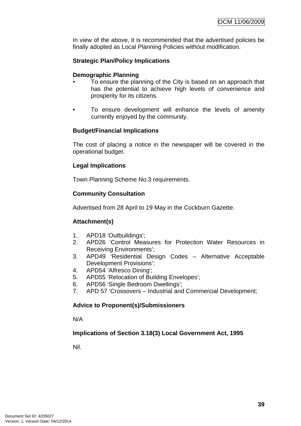In view of the above, it is recommended that the advertised policies be finally adopted as Local Planning Policies without modification.

## **Strategic Plan/Policy Implications**

#### **Demographic Planning**

- To ensure the planning of the City is based on an approach that has the potential to achieve high levels of convenience and prosperity for its citizens.
- To ensure development will enhance the levels of amenity currently enjoyed by the community.

## **Budget/Financial Implications**

The cost of placing a notice in the newspaper will be covered in the operational budget.

## **Legal Implications**

Town Planning Scheme No.3 requirements.

#### **Community Consultation**

Advertised from 28 April to 19 May in the Cockburn Gazette.

# **Attachment(s)**

- 1. APD18 'Outbuildings';
- 2. APD26 'Control Measures for Protection Water Resources in Receiving Environments';
- 3. APD49 'Residential Design Codes Alternative Acceptable Development Provisions';
- 4. APD54 'Alfresco Dining';
- 5. APD55 'Relocation of Building Envelopes';
- 6. APD56 'Single Bedroom Dwellings';
- 7. APD 57 'Crossovers Industrial and Commercial Development;

#### **Advice to Proponent(s)/Submissioners**

N/A

#### **Implications of Section 3.18(3) Local Government Act, 1995**

Nil.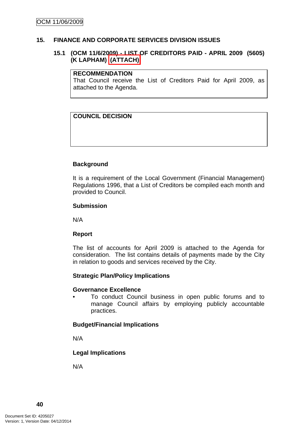#### **15. FINANCE AND CORPORATE SERVICES DIVISION ISSUES**

#### **15.1 (OCM 11/6/2009) - LIST OF CREDITORS PAID - APRIL 2009 (5605) (K LAPHAM) (ATTACH)**

#### **RECOMMENDATION**

That Council receive the List of Creditors Paid for April 2009, as attached to the Agenda.

## **COUNCIL DECISION**

#### **Background**

It is a requirement of the Local Government (Financial Management) Regulations 1996, that a List of Creditors be compiled each month and provided to Council.

#### **Submission**

N/A

#### **Report**

The list of accounts for April 2009 is attached to the Agenda for consideration. The list contains details of payments made by the City in relation to goods and services received by the City.

#### **Strategic Plan/Policy Implications**

#### **Governance Excellence**

• To conduct Council business in open public forums and to manage Council affairs by employing publicly accountable practices.

#### **Budget/Financial Implications**

N/A

**Legal Implications** 

N/A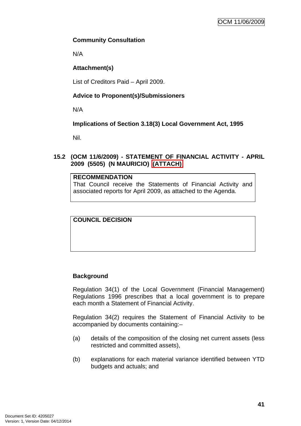## **Community Consultation**

N/A

# **Attachment(s)**

List of Creditors Paid – April 2009.

# **Advice to Proponent(s)/Submissioners**

N/A

# **Implications of Section 3.18(3) Local Government Act, 1995**

Nil.

# **15.2 (OCM 11/6/2009) - STATEMENT OF FINANCIAL ACTIVITY - APRIL 2009 (5505) (N MAURICIO) (ATTACH)**

## **RECOMMENDATION**

That Council receive the Statements of Financial Activity and associated reports for April 2009, as attached to the Agenda.

**COUNCIL DECISION** 

# **Background**

Regulation 34(1) of the Local Government (Financial Management) Regulations 1996 prescribes that a local government is to prepare each month a Statement of Financial Activity.

Regulation 34(2) requires the Statement of Financial Activity to be accompanied by documents containing:–

- (a) details of the composition of the closing net current assets (less restricted and committed assets),
- (b) explanations for each material variance identified between YTD budgets and actuals; and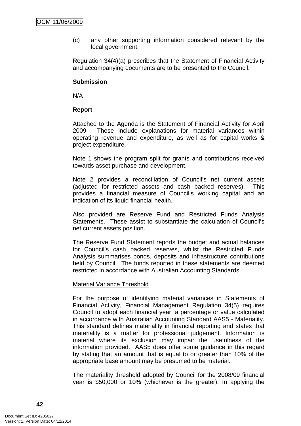(c) any other supporting information considered relevant by the local government.

Regulation 34(4)(a) prescribes that the Statement of Financial Activity and accompanying documents are to be presented to the Council.

#### **Submission**

N/A

#### **Report**

Attached to the Agenda is the Statement of Financial Activity for April 2009. These include explanations for material variances within operating revenue and expenditure, as well as for capital works & project expenditure.

Note 1 shows the program split for grants and contributions received towards asset purchase and development.

Note 2 provides a reconciliation of Council's net current assets (adjusted for restricted assets and cash backed reserves). This provides a financial measure of Council's working capital and an indication of its liquid financial health.

Also provided are Reserve Fund and Restricted Funds Analysis Statements. These assist to substantiate the calculation of Council's net current assets position.

The Reserve Fund Statement reports the budget and actual balances for Council's cash backed reserves, whilst the Restricted Funds Analysis summarises bonds, deposits and infrastructure contributions held by Council. The funds reported in these statements are deemed restricted in accordance with Australian Accounting Standards.

#### Material Variance Threshold

For the purpose of identifying material variances in Statements of Financial Activity, Financial Management Regulation 34(5) requires Council to adopt each financial year, a percentage or value calculated in accordance with Australian Accounting Standard AAS5 - Materiality. This standard defines materiality in financial reporting and states that materiality is a matter for professional judgement. Information is material where its exclusion may impair the usefulness of the information provided. AAS5 does offer some guidance in this regard by stating that an amount that is equal to or greater than 10% of the appropriate base amount may be presumed to be material.

The materiality threshold adopted by Council for the 2008/09 financial year is \$50,000 or 10% (whichever is the greater). In applying the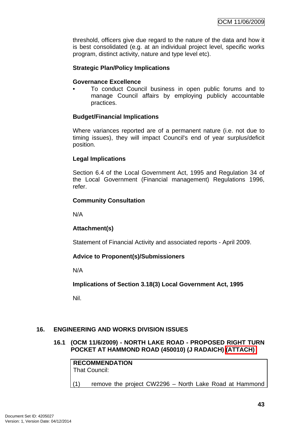threshold, officers give due regard to the nature of the data and how it is best consolidated (e.g. at an individual project level, specific works program, distinct activity, nature and type level etc).

## **Strategic Plan/Policy Implications**

#### **Governance Excellence**

• To conduct Council business in open public forums and to manage Council affairs by employing publicly accountable practices.

## **Budget/Financial Implications**

Where variances reported are of a permanent nature (i.e. not due to timing issues), they will impact Council's end of year surplus/deficit position.

#### **Legal Implications**

Section 6.4 of the Local Government Act, 1995 and Regulation 34 of the Local Government (Financial management) Regulations 1996, refer.

#### **Community Consultation**

N/A

# **Attachment(s)**

Statement of Financial Activity and associated reports - April 2009.

#### **Advice to Proponent(s)/Submissioners**

N/A

**Implications of Section 3.18(3) Local Government Act, 1995**

Nil.

# **16. ENGINEERING AND WORKS DIVISION ISSUES**

## **16.1 (OCM 11/6/2009) - NORTH LAKE ROAD - PROPOSED RIGHT TURN POCKET AT HAMMOND ROAD (450010) (J RADAICH) (ATTACH)**

**RECOMMENDATION** That Council:

(1) remove the project CW2296 – North Lake Road at Hammond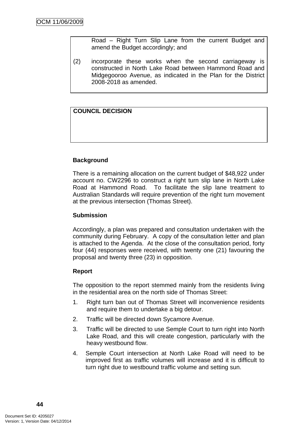Road – Right Turn Slip Lane from the current Budget and amend the Budget accordingly; and

(2) incorporate these works when the second carriageway is constructed in North Lake Road between Hammond Road and Midgegooroo Avenue, as indicated in the Plan for the District 2008-2018 as amended.

# **COUNCIL DECISION**

## **Background**

There is a remaining allocation on the current budget of \$48,922 under account no. CW2296 to construct a right turn slip lane in North Lake Road at Hammond Road. To facilitate the slip lane treatment to Australian Standards will require prevention of the right turn movement at the previous intersection (Thomas Street).

#### **Submission**

Accordingly, a plan was prepared and consultation undertaken with the community during February. A copy of the consultation letter and plan is attached to the Agenda. At the close of the consultation period, forty four (44) responses were received, with twenty one (21) favouring the proposal and twenty three (23) in opposition.

#### **Report**

The opposition to the report stemmed mainly from the residents living in the residential area on the north side of Thomas Street:

- 1. Right turn ban out of Thomas Street will inconvenience residents and require them to undertake a big detour.
- 2. Traffic will be directed down Sycamore Avenue.
- 3. Traffic will be directed to use Semple Court to turn right into North Lake Road, and this will create congestion, particularly with the heavy westbound flow.
- 4. Semple Court intersection at North Lake Road will need to be improved first as traffic volumes will increase and it is difficult to turn right due to westbound traffic volume and setting sun.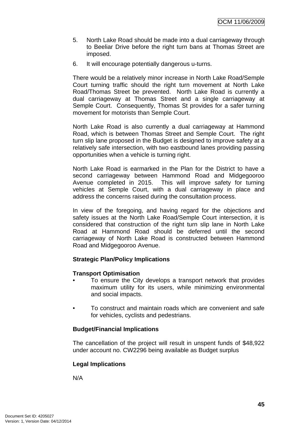- 5. North Lake Road should be made into a dual carriageway through to Beeliar Drive before the right turn bans at Thomas Street are imposed.
- 6. It will encourage potentially dangerous u-turns.

There would be a relatively minor increase in North Lake Road/Semple Court turning traffic should the right turn movement at North Lake Road/Thomas Street be prevented. North Lake Road is currently a dual carriageway at Thomas Street and a single carriageway at Semple Court. Consequently, Thomas St provides for a safer turning movement for motorists than Semple Court.

North Lake Road is also currently a dual carriageway at Hammond Road, which is between Thomas Street and Semple Court. The right turn slip lane proposed in the Budget is designed to improve safety at a relatively safe intersection, with two eastbound lanes providing passing opportunities when a vehicle is turning right.

North Lake Road is earmarked in the Plan for the District to have a second carriageway between Hammond Road and Midgegooroo Avenue completed in 2015. This will improve safety for turning vehicles at Semple Court, with a dual carriageway in place and address the concerns raised during the consultation process.

In view of the foregoing, and having regard for the objections and safety issues at the North Lake Road/Semple Court intersection, it is considered that construction of the right turn slip lane in North Lake Road at Hammond Road should be deferred until the second carriageway of North Lake Road is constructed between Hammond Road and Midgegooroo Avenue.

# **Strategic Plan/Policy Implications**

# **Transport Optimisation**

- To ensure the City develops a transport network that provides maximum utility for its users, while minimizing environmental and social impacts.
- To construct and maintain roads which are convenient and safe for vehicles, cyclists and pedestrians.

#### **Budget/Financial Implications**

The cancellation of the project will result in unspent funds of \$48,922 under account no. CW2296 being available as Budget surplus

# **Legal Implications**

N/A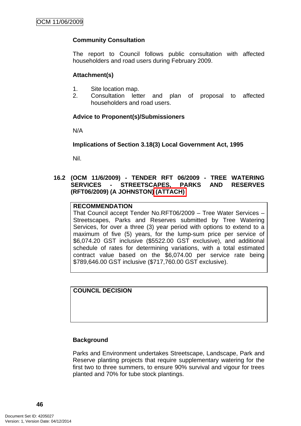## **Community Consultation**

The report to Council follows public consultation with affected householders and road users during February 2009.

#### **Attachment(s)**

- 1. Site location map.
- 2. Consultation letter and plan of proposal to affected householders and road users.

#### **Advice to Proponent(s)/Submissioners**

N/A

#### **Implications of Section 3.18(3) Local Government Act, 1995**

Nil.

#### **16.2 (OCM 11/6/2009) - TENDER RFT 06/2009 - TREE WATERING SERVICES - STREETSCAPES, PARKS AND RESERVES (RFT06/2009) (A JOHNSTON) (ATTACH)**

#### **RECOMMENDATION**

That Council accept Tender No.RFT06/2009 – Tree Water Services – Streetscapes, Parks and Reserves submitted by Tree Watering Services, for over a three (3) year period with options to extend to a maximum of five (5) years, for the lump-sum price per service of \$6,074.20 GST inclusive (\$5522.00 GST exclusive), and additional schedule of rates for determining variations, with a total estimated contract value based on the \$6,074.00 per service rate being \$789,646.00 GST inclusive (\$717,760.00 GST exclusive).

**COUNCIL DECISION** 

#### **Background**

Parks and Environment undertakes Streetscape, Landscape, Park and Reserve planting projects that require supplementary watering for the first two to three summers, to ensure 90% survival and vigour for trees planted and 70% for tube stock plantings.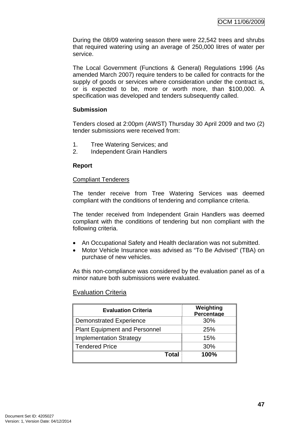During the 08/09 watering season there were 22,542 trees and shrubs that required watering using an average of 250,000 litres of water per service.

The Local Government (Functions & General) Regulations 1996 (As amended March 2007) require tenders to be called for contracts for the supply of goods or services where consideration under the contract is, or is expected to be, more or worth more, than \$100,000. A specification was developed and tenders subsequently called.

## **Submission**

Tenders closed at 2:00pm (AWST) Thursday 30 April 2009 and two (2) tender submissions were received from:

- 1. Tree Watering Services; and
- 2. Independent Grain Handlers

#### **Report**

#### Compliant Tenderers

The tender receive from Tree Watering Services was deemed compliant with the conditions of tendering and compliance criteria.

The tender received from Independent Grain Handlers was deemed compliant with the conditions of tendering but non compliant with the following criteria.

- An Occupational Safety and Health declaration was not submitted.
- Motor Vehicle Insurance was advised as "To Be Advised" (TBA) on purchase of new vehicles.

As this non-compliance was considered by the evaluation panel as of a minor nature both submissions were evaluated.

| <b>Evaluation Criteria</b>           | Weighting<br>Percentage |
|--------------------------------------|-------------------------|
| <b>Demonstrated Experience</b>       | 30%                     |
| <b>Plant Equipment and Personnel</b> | 25%                     |
| <b>Implementation Strategy</b>       | 15%                     |
| <b>Tendered Price</b>                | 30%                     |
| Total                                | 100%                    |

# Evaluation Criteria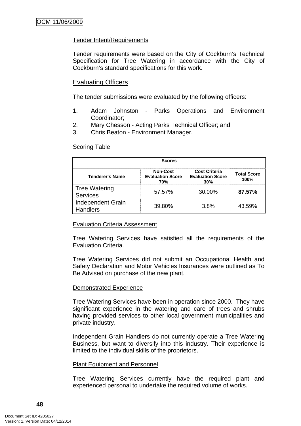## Tender Intent/Requirements

Tender requirements were based on the City of Cockburn's Technical Specification for Tree Watering in accordance with the City of Cockburn's standard specifications for this work.

# Evaluating Officers

The tender submissions were evaluated by the following officers:

- 1. Adam Johnston Parks Operations and Environment Coordinator;
- 2. Mary Chesson Acting Parks Technical Officer; and
- 3. Chris Beaton Environment Manager.

#### Scoring Table

| <b>Scores</b>                           |                                                   |                                                        |                            |
|-----------------------------------------|---------------------------------------------------|--------------------------------------------------------|----------------------------|
| <b>Tenderer's Name</b>                  | <b>Non-Cost</b><br><b>Evaluation Score</b><br>70% | <b>Cost Criteria</b><br><b>Evaluation Score</b><br>30% | <b>Total Score</b><br>100% |
| <b>Tree Watering</b><br><b>Services</b> | 57.57%                                            | 30.00%                                                 | 87.57%                     |
| Independent Grain<br><b>Handlers</b>    | 39.80%                                            | 3.8%                                                   | 43.59%                     |

#### Evaluation Criteria Assessment

Tree Watering Services have satisfied all the requirements of the Evaluation Criteria.

Tree Watering Services did not submit an Occupational Health and Safety Declaration and Motor Vehicles Insurances were outlined as To Be Advised on purchase of the new plant.

#### Demonstrated Experience

Tree Watering Services have been in operation since 2000. They have significant experience in the watering and care of trees and shrubs having provided services to other local government municipalities and private industry.

Independent Grain Handlers do not currently operate a Tree Watering Business, but want to diversify into this industry. Their experience is limited to the individual skills of the proprietors.

#### Plant Equipment and Personnel

Tree Watering Services currently have the required plant and experienced personal to undertake the required volume of works.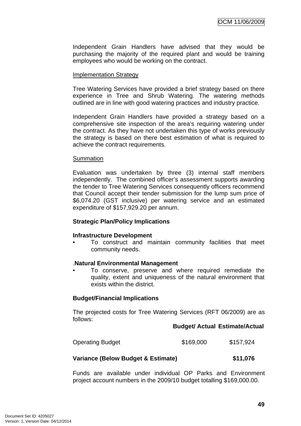Independent Grain Handlers have advised that they would be purchasing the majority of the required plant and would be training employees who would be working on the contract.

#### Implementation Strategy

Tree Watering Services have provided a brief strategy based on there experience in Tree and Shrub Watering. The watering methods outlined are in line with good watering practices and industry practice.

Independent Grain Handlers have provided a strategy based on a comprehensive site inspection of the area's requiring watering under the contract. As they have not undertaken this type of works previously the strategy is based on there best estimation of what is required to achieve the contract requirements.

#### **Summation**

Evaluation was undertaken by three (3) internal staff members independently. The combined officer's assessment supports awarding the tender to Tree Watering Services consequently officers recommend that Council accept their tender submission for the lump sum price of \$6,074.20 (GST inclusive) per watering service and an estimated expenditure of \$157,929.20 per annum.

#### **Strategic Plan/Policy Implications**

#### **Infrastructure Development**

• To construct and maintain community facilities that meet community needs.

#### .**Natural Environmental Management**

To conserve, preserve and where required remediate the quality, extent and uniqueness of the natural environment that exists within the district.

#### **Budget/Financial Implications**

The projected costs for Tree Watering Services (RFT 06/2009) are as follows:

#### **Budget/ Actual Estimate/Actual**

| Operating Budget | \$169,000 | \$157,924 |
|------------------|-----------|-----------|
|------------------|-----------|-----------|

#### **Variance (Below Budget & Estimate) \$11,076**

Funds are available under individual OP Parks and Environment project account numbers in the 2009/10 budget totalling \$169,000.00.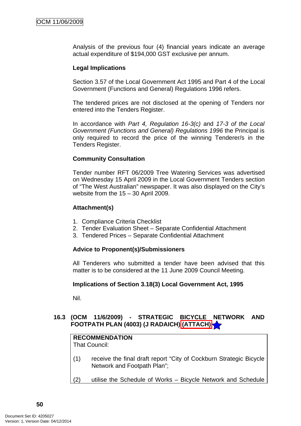Analysis of the previous four (4) financial years indicate an average actual expenditure of \$194,000 GST exclusive per annum.

## **Legal Implications**

Section 3.57 of the Local Government Act 1995 and Part 4 of the Local Government (Functions and General) Regulations 1996 refers.

The tendered prices are not disclosed at the opening of Tenders nor entered into the Tenders Register.

In accordance with *Part 4, Regulation 16-3(c)* and *17-3 of the Local Government (Functions and General) Regulations 1996* the Principal is only required to record the price of the winning Tenderer/s in the Tenders Register.

## **Community Consultation**

Tender number RFT 06/2009 Tree Watering Services was advertised on Wednesday 15 April 2009 in the Local Government Tenders section of "The West Australian" newspaper. It was also displayed on the City's website from the 15 – 30 April 2009.

## **Attachment(s)**

- 1. Compliance Criteria Checklist
- 2. Tender Evaluation Sheet Separate Confidential Attachment
- 3. Tendered Prices Separate Confidential Attachment

#### **Advice to Proponent(s)/Submissioners**

All Tenderers who submitted a tender have been advised that this matter is to be considered at the 11 June 2009 Council Meeting.

#### **Implications of Section 3.18(3) Local Government Act, 1995**

Nil.

# **16.3 (OCM 11/6/2009) - STRATEGIC BICYCLE NETWORK AND FOOTPATH PLAN (4003) (J RADAICH) (ATTACH)**

# **RECOMMENDATION**

That Council:

- (1) receive the final draft report "City of Cockburn Strategic Bicycle Network and Footpath Plan";
- (2) utilise the Schedule of Works Bicycle Network and Schedule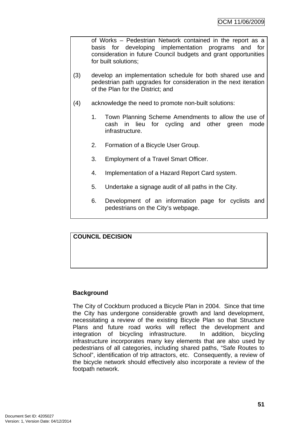of Works – Pedestrian Network contained in the report as a basis for developing implementation programs and for consideration in future Council budgets and grant opportunities for built solutions;

- (3) develop an implementation schedule for both shared use and pedestrian path upgrades for consideration in the next iteration of the Plan for the District; and
- (4) acknowledge the need to promote non-built solutions:
	- 1. Town Planning Scheme Amendments to allow the use of cash in lieu for cycling and other green mode infrastructure.
	- 2. Formation of a Bicycle User Group.
	- 3. Employment of a Travel Smart Officer.
	- 4. Implementation of a Hazard Report Card system.
	- 5. Undertake a signage audit of all paths in the City.
	- 6. Development of an information page for cyclists and pedestrians on the City's webpage.

# **COUNCIL DECISION**

# **Background**

The City of Cockburn produced a Bicycle Plan in 2004. Since that time the City has undergone considerable growth and land development, necessitating a review of the existing Bicycle Plan so that Structure Plans and future road works will reflect the development and integration of bicycling infrastructure. In addition, bicycling infrastructure incorporates many key elements that are also used by pedestrians of all categories, including shared paths, "Safe Routes to School", identification of trip attractors, etc. Consequently, a review of the bicycle network should effectively also incorporate a review of the footpath network.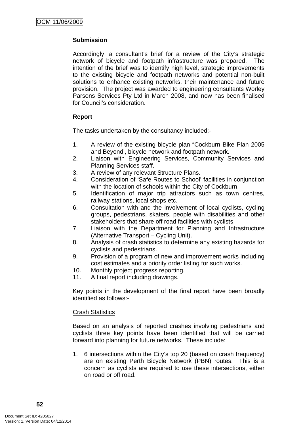# **Submission**

Accordingly, a consultant's brief for a review of the City's strategic network of bicycle and footpath infrastructure was prepared. The intention of the brief was to identify high level, strategic improvements to the existing bicycle and footpath networks and potential non-built solutions to enhance existing networks, their maintenance and future provision. The project was awarded to engineering consultants Worley Parsons Services Pty Ltd in March 2008, and now has been finalised for Council's consideration.

## **Report**

The tasks undertaken by the consultancy included:-

- 1. A review of the existing bicycle plan "Cockburn Bike Plan 2005 and Beyond', bicycle network and footpath network.
- 2. Liaison with Engineering Services, Community Services and Planning Services staff.
- 3. A review of any relevant Structure Plans.
- 4. Consideration of 'Safe Routes to School' facilities in conjunction with the location of schools within the City of Cockburn.
- 5. Identification of major trip attractors such as town centres, railway stations, local shops etc.
- 6. Consultation with and the involvement of local cyclists, cycling groups, pedestrians, skaters, people with disabilities and other stakeholders that share off road facilities with cyclists.
- 7. Liaison with the Department for Planning and Infrastructure (Alternative Transport – Cycling Unit).
- 8. Analysis of crash statistics to determine any existing hazards for cyclists and pedestrians.
- 9. Provision of a program of new and improvement works including cost estimates and a priority order listing for such works.
- 10. Monthly project progress reporting.
- 11. A final report including drawings.

Key points in the development of the final report have been broadly identified as follows:-

#### Crash Statistics

Based on an analysis of reported crashes involving pedestrians and cyclists three key points have been identified that will be carried forward into planning for future networks. These include:

1. 6 intersections within the City's top 20 (based on crash frequency) are on existing Perth Bicycle Network (PBN) routes. This is a concern as cyclists are required to use these intersections, either on road or off road.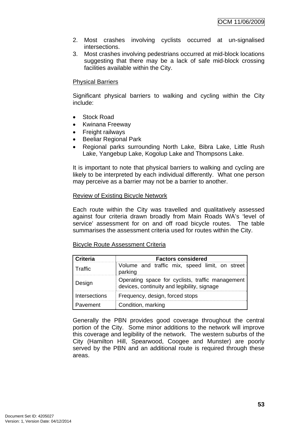- 2. Most crashes involving cyclists occurred at un-signalised intersections.
- 3. Most crashes involving pedestrians occurred at mid-block locations suggesting that there may be a lack of safe mid-block crossing facilities available within the City.

## Physical Barriers

Significant physical barriers to walking and cycling within the City include:

- Stock Road
- Kwinana Freeway
- **Freight railways**
- Beeliar Regional Park
- Regional parks surrounding North Lake, Bibra Lake, Little Rush Lake, Yangebup Lake, Kogolup Lake and Thompsons Lake.

It is important to note that physical barriers to walking and cycling are likely to be interpreted by each individual differently. What one person may perceive as a barrier may not be a barrier to another.

#### Review of Existing Bicycle Network

Each route within the City was travelled and qualitatively assessed against four criteria drawn broadly from Main Roads WA's 'level of service' assessment for on and off road bicycle routes. The table summarises the assessment criteria used for routes within the City.

#### Bicycle Route Assessment Criteria

| Criteria      | <b>Factors considered</b>                                                                       |  |  |
|---------------|-------------------------------------------------------------------------------------------------|--|--|
| ll Traffic.   | Volume and traffic mix, speed limit, on street   <br>parking                                    |  |  |
| Design        | Operating space for cyclists, traffic management<br>devices, continuity and legibility, signage |  |  |
| Intersections | Frequency, design, forced stops                                                                 |  |  |
| Pavement      | Condition, marking                                                                              |  |  |

Generally the PBN provides good coverage throughout the central portion of the City. Some minor additions to the network will improve this coverage and legibility of the network. The western suburbs of the City (Hamilton Hill, Spearwood, Coogee and Munster) are poorly served by the PBN and an additional route is required through these areas.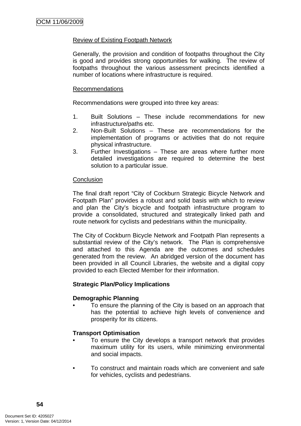## Review of Existing Footpath Network

Generally, the provision and condition of footpaths throughout the City is good and provides strong opportunities for walking. The review of footpaths throughout the various assessment precincts identified a number of locations where infrastructure is required.

#### Recommendations

Recommendations were grouped into three key areas:

- 1. Built Solutions These include recommendations for new infrastructure/paths etc.
- 2. Non-Built Solutions These are recommendations for the implementation of programs or activities that do not require physical infrastructure.
- 3. Further Investigations These are areas where further more detailed investigations are required to determine the best solution to a particular issue.

#### **Conclusion**

The final draft report "City of Cockburn Strategic Bicycle Network and Footpath Plan" provides a robust and solid basis with which to review and plan the City's bicycle and footpath infrastructure program to provide a consolidated, structured and strategically linked path and route network for cyclists and pedestrians within the municipality.

The City of Cockburn Bicycle Network and Footpath Plan represents a substantial review of the City's network. The Plan is comprehensive and attached to this Agenda are the outcomes and schedules generated from the review. An abridged version of the document has been provided in all Council Libraries, the website and a digital copy provided to each Elected Member for their information.

#### **Strategic Plan/Policy Implications**

#### **Demographic Planning**

• To ensure the planning of the City is based on an approach that has the potential to achieve high levels of convenience and prosperity for its citizens.

#### **Transport Optimisation**

- To ensure the City develops a transport network that provides maximum utility for its users, while minimizing environmental and social impacts.
- To construct and maintain roads which are convenient and safe for vehicles, cyclists and pedestrians.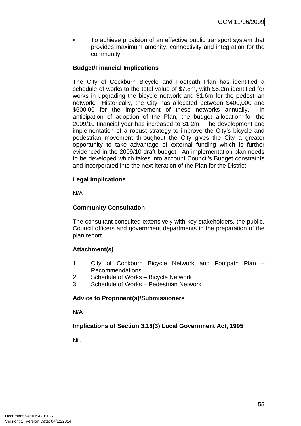• To achieve provision of an effective public transport system that provides maximum amenity, connectivity and integration for the community.

## **Budget/Financial Implications**

The City of Cockburn Bicycle and Footpath Plan has identified a schedule of works to the total value of \$7.8m, with \$6.2m identified for works in upgrading the bicycle network and \$1.6m for the pedestrian network. Historically, the City has allocated between \$400,000 and \$600,00 for the improvement of these networks annually. In anticipation of adoption of the Plan, the budget allocation for the 2009/10 financial year has increased to \$1.2m. The development and implementation of a robust strategy to improve the City's bicycle and pedestrian movement throughout the City gives the City a greater opportunity to take advantage of external funding which is further evidenced in the 2009/10 draft budget. An implementation plan needs to be developed which takes into account Council's Budget constraints and incorporated into the next iteration of the Plan for the District.

#### **Legal Implications**

N/A

## **Community Consultation**

The consultant consulted extensively with key stakeholders, the public, Council officers and government departments in the preparation of the plan report.

# **Attachment(s)**

- 1. City of Cockburn Bicycle Network and Footpath Plan Recommendations
- 2. Schedule of Works Bicycle Network
- 3. Schedule of Works Pedestrian Network

#### **Advice to Proponent(s)/Submissioners**

N/A

# **Implications of Section 3.18(3) Local Government Act, 1995**

Nil.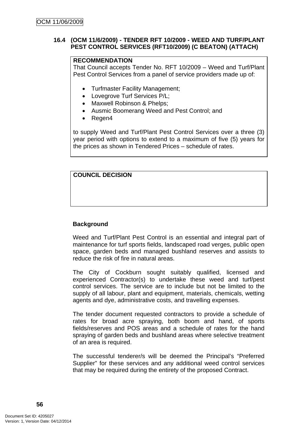#### **16.4 (OCM 11/6/2009) - TENDER RFT 10/2009 - WEED AND TURF/PLANT PEST CONTROL SERVICES (RFT10/2009) (C BEATON) (ATTACH)**

## **RECOMMENDATION**

That Council accepts Tender No. RFT 10/2009 – Weed and Turf/Plant Pest Control Services from a panel of service providers made up of:

- Turfmaster Facility Management;
- Lovegrove Turf Services P/L;
- Maxwell Robinson & Phelps:
- Ausmic Boomerang Weed and Pest Control; and
- Regen4

to supply Weed and Turf/Plant Pest Control Services over a three (3) year period with options to extend to a maximum of five (5) years for the prices as shown in Tendered Prices – schedule of rates.

# **COUNCIL DECISION**

# **Background**

Weed and Turf/Plant Pest Control is an essential and integral part of maintenance for turf sports fields, landscaped road verges, public open space, garden beds and managed bushland reserves and assists to reduce the risk of fire in natural areas.

The City of Cockburn sought suitably qualified, licensed and experienced Contractor(s) to undertake these weed and turf/pest control services. The service are to include but not be limited to the supply of all labour, plant and equipment, materials, chemicals, wetting agents and dye, administrative costs, and travelling expenses.

The tender document requested contractors to provide a schedule of rates for broad acre spraying, both boom and hand, of sports fields/reserves and POS areas and a schedule of rates for the hand spraying of garden beds and bushland areas where selective treatment of an area is required.

The successful tenderer/s will be deemed the Principal's "Preferred Supplier" for these services and any additional weed control services that may be required during the entirety of the proposed Contract.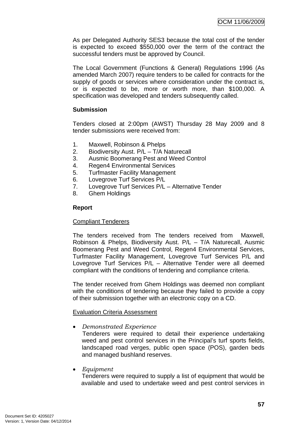As per Delegated Authority SES3 because the total cost of the tender is expected to exceed \$550,000 over the term of the contract the successful tenders must be approved by Council.

The Local Government (Functions & General) Regulations 1996 (As amended March 2007) require tenders to be called for contracts for the supply of goods or services where consideration under the contract is, or is expected to be, more or worth more, than \$100,000. A specification was developed and tenders subsequently called.

## **Submission**

Tenders closed at 2:00pm (AWST) Thursday 28 May 2009 and 8 tender submissions were received from:

- 1. Maxwell, Robinson & Phelps
- 2. Biodiversity Aust. P/L T/A Naturecall
- 3. Ausmic Boomerang Pest and Weed Control
- 4. Regen4 Environmental Services
- 5. Turfmaster Facility Management
- 6. Lovegrove Turf Services P/L
- 7. Lovegrove Turf Services P/L Alternative Tender
- 8. Ghem Holdings

## **Report**

#### Compliant Tenderers

The tenders received from The tenders received from Maxwell, Robinson & Phelps, Biodiversity Aust. P/L – T/A Naturecall, Ausmic Boomerang Pest and Weed Control, Regen4 Environmental Services, Turfmaster Facility Management, Lovegrove Turf Services P/L and Lovegrove Turf Services P/L – Alternative Tender were all deemed compliant with the conditions of tendering and compliance criteria.

The tender received from Ghem Holdings was deemed non compliant with the conditions of tendering because they failed to provide a copy of their submission together with an electronic copy on a CD.

## Evaluation Criteria Assessment

• *Demonstrated Experience* 

Tenderers were required to detail their experience undertaking weed and pest control services in the Principal's turf sports fields, landscaped road verges, public open space (POS), garden beds and managed bushland reserves.

#### • *Equipment*

Tenderers were required to supply a list of equipment that would be available and used to undertake weed and pest control services in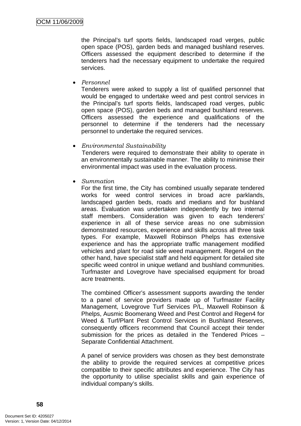the Principal's turf sports fields, landscaped road verges, public open space (POS), garden beds and managed bushland reserves. Officers assessed the equipment described to determine if the tenderers had the necessary equipment to undertake the required services.

• *Personnel* 

Tenderers were asked to supply a list of qualified personnel that would be engaged to undertake weed and pest control services in the Principal's turf sports fields, landscaped road verges, public open space (POS), garden beds and managed bushland reserves. Officers assessed the experience and qualifications of the personnel to determine if the tenderers had the necessary personnel to undertake the required services.

#### • *Environmental Sustainability*

Tenderers were required to demonstrate their ability to operate in an environmentally sustainable manner. The ability to minimise their environmental impact was used in the evaluation process.

• *Summation* 

For the first time, the City has combined usually separate tendered works for weed control services in broad acre parklands, landscaped garden beds, roads and medians and for bushland areas. Evaluation was undertaken independently by two internal staff members. Consideration was given to each tenderers' experience in all of these service areas no one submission demonstrated resources, experience and skills across all three task types. For example, Maxwell Robinson Phelps has extensive experience and has the appropriate traffic management modified vehicles and plant for road side weed management. Regen4 on the other hand, have specialist staff and held equipment for detailed site specific weed control in unique wetland and bushland communities. Turfmaster and Lovegrove have specialised equipment for broad acre treatments.

The combined Officer's assessment supports awarding the tender to a panel of service providers made up of Turfmaster Facility Management, Lovegrove Turf Services P/L, Maxwell Robinson & Phelps, Ausmic Boomerang Weed and Pest Control and Regen4 for Weed & Turf/Plant Pest Control Services in Bushland Reserves, consequently officers recommend that Council accept their tender submission for the prices as detailed in the Tendered Prices – Separate Confidential Attachment.

A panel of service providers was chosen as they best demonstrate the ability to provide the required services at competitive prices compatible to their specific attributes and experience. The City has the opportunity to utilise specialist skills and gain experience of individual company's skills.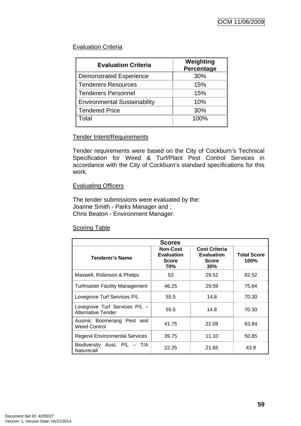# Evaluation Criteria

| <b>Evaluation Criteria</b>          | Weighting<br>Percentage |
|-------------------------------------|-------------------------|
| <b>Demonstrated Experience</b>      | 30%                     |
| <b>Tenderers Resources</b>          | 15%                     |
| <b>Tenderers Personnel</b>          | 15%                     |
| <b>Environmental Sustainability</b> | 1በ%                     |
| <b>Tendered Price</b>               | 30%                     |
| Total                               | 100%                    |

## Tender Intent/Requirements

Tender requirements were based on the City of Cockburn's Technical Specification for Weed & Turf/Plant Pest Control Services in accordance with the City of Cockburn's standard specifications for this work.

## Evaluating Officers

The tender submissions were evaluated by the: Joanne Smith - Parks Manager and ; Chris Beaton - Environment Manager.

#### Scoring Table

| <b>Scores</b>                                       |                                                             |                                                                  |                            |
|-----------------------------------------------------|-------------------------------------------------------------|------------------------------------------------------------------|----------------------------|
| <b>Tenderer's Name</b>                              | <b>Non-Cost</b><br><b>Evaluation</b><br><b>Score</b><br>70% | <b>Cost Criteria</b><br><b>Evaluation</b><br><b>Score</b><br>30% | <b>Total Score</b><br>100% |
| Maxwell, Robinson & Phelps                          | 53                                                          | 29.52                                                            | 82.52                      |
| <b>Turfmaster Facility Management</b>               | 46.25                                                       | 29.59                                                            | 75.84                      |
| Lovegrove Turf Services P/L                         | 55.5                                                        | 14.8                                                             | 70.30                      |
| Lovegrove Turf Services P/L -<br>Alternative Tender | 55.5                                                        | 14.8                                                             | 70.30                      |
| Ausmic Boomerang Pest and<br><b>Weed Control</b>    | 41.75                                                       | 22.09                                                            | 63.84                      |
| <b>Regen4 Environmental Services</b>                | 39.75                                                       | 11.10                                                            | 50.85                      |
| Biodiversity Aust. P/L - T/A<br>Naturecall          | 22.25                                                       | 21.65                                                            | 43.9                       |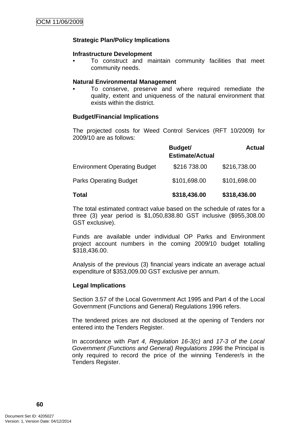## **Strategic Plan/Policy Implications**

#### **Infrastructure Development**

• To construct and maintain community facilities that meet community needs.

#### **Natural Environmental Management**

• To conserve, preserve and where required remediate the quality, extent and uniqueness of the natural environment that exists within the district.

#### **Budget/Financial Implications**

The projected costs for Weed Control Services (RFT 10/2009) for 2009/10 are as follows:

|                                     | Budget/<br><b>Estimate/Actual</b> | <b>Actual</b> |
|-------------------------------------|-----------------------------------|---------------|
| <b>Environment Operating Budget</b> | \$216 738.00                      | \$216,738.00  |
| <b>Parks Operating Budget</b>       | \$101,698.00                      | \$101,698.00  |
| <b>Total</b>                        | \$318,436.00                      | \$318,436.00  |

The total estimated contract value based on the schedule of rates for a three (3) year period is \$1,050,838.80 GST inclusive (\$955,308.00 GST exclusive).

Funds are available under individual OP Parks and Environment project account numbers in the coming 2009/10 budget totalling \$318,436.00.

Analysis of the previous (3) financial years indicate an average actual expenditure of \$353,009.00 GST exclusive per annum.

#### **Legal Implications**

Section 3.57 of the Local Government Act 1995 and Part 4 of the Local Government (Functions and General) Regulations 1996 refers.

The tendered prices are not disclosed at the opening of Tenders nor entered into the Tenders Register.

In accordance with *Part 4, Regulation 16-3(c)* and *17-3 of the Local Government (Functions and General) Regulations 1996* the Principal is only required to record the price of the winning Tenderer/s in the Tenders Register.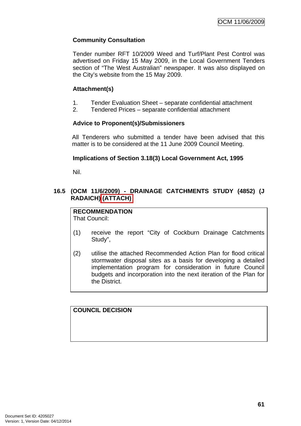# **Community Consultation**

Tender number RFT 10/2009 Weed and Turf/Plant Pest Control was advertised on Friday 15 May 2009, in the Local Government Tenders section of "The West Australian" newspaper. It was also displayed on the City's website from the 15 May 2009.

# **Attachment(s)**

- 1. Tender Evaluation Sheet separate confidential attachment
- 2. Tendered Prices separate confidential attachment

# **Advice to Proponent(s)/Submissioners**

All Tenderers who submitted a tender have been advised that this matter is to be considered at the 11 June 2009 Council Meeting.

# **Implications of Section 3.18(3) Local Government Act, 1995**

Nil.

## **16.5 (OCM 11/6/2009) - DRAINAGE CATCHMENTS STUDY (4852) (J RADAICH) (ATTACH)**

# **RECOMMENDATION**

That Council:

- (1) receive the report "City of Cockburn Drainage Catchments Study",
- (2) utilise the attached Recommended Action Plan for flood critical stormwater disposal sites as a basis for developing a detailed implementation program for consideration in future Council budgets and incorporation into the next iteration of the Plan for the District.

# **COUNCIL DECISION**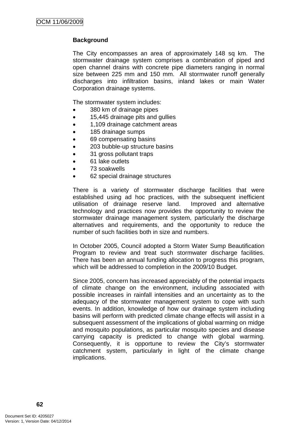# **Background**

The City encompasses an area of approximately 148 sq km. The stormwater drainage system comprises a combination of piped and open channel drains with concrete pipe diameters ranging in normal size between 225 mm and 150 mm. All stormwater runoff generally discharges into infiltration basins, inland lakes or main Water Corporation drainage systems.

The stormwater system includes:

- 380 km of drainage pipes
- 15,445 drainage pits and gullies
- 1,109 drainage catchment areas
- 185 drainage sumps
- 69 compensating basins
- 203 bubble-up structure basins
- 31 gross pollutant traps
- 61 lake outlets
- 73 soakwells
- 62 special drainage structures

There is a variety of stormwater discharge facilities that were established using ad hoc practices, with the subsequent inefficient utilisation of drainage reserve land. Improved and alternative technology and practices now provides the opportunity to review the stormwater drainage management system, particularly the discharge alternatives and requirements, and the opportunity to reduce the number of such facilities both in size and numbers.

In October 2005, Council adopted a Storm Water Sump Beautification Program to review and treat such stormwater discharge facilities. There has been an annual funding allocation to progress this program, which will be addressed to completion in the 2009/10 Budget.

Since 2005, concern has increased appreciably of the potential impacts of climate change on the environment, including associated with possible increases in rainfall intensities and an uncertainty as to the adequacy of the stormwater management system to cope with such events. In addition, knowledge of how our drainage system including basins will perform with predicted climate change effects will assist in a subsequent assessment of the implications of global warming on midge and mosquito populations, as particular mosquito species and disease carrying capacity is predicted to change with global warming. Consequently, it is opportune to review the City's stormwater catchment system, particularly in light of the climate change implications.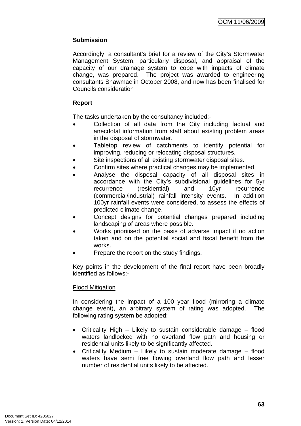# **Submission**

Accordingly, a consultant's brief for a review of the City's Stormwater Management System, particularly disposal, and appraisal of the capacity of our drainage system to cope with impacts of climate change, was prepared. The project was awarded to engineering consultants Shawmac in October 2008, and now has been finalised for Councils consideration

# **Report**

The tasks undertaken by the consultancy included:-

- Collection of all data from the City including factual and anecdotal information from staff about existing problem areas in the disposal of stormwater.
- Tabletop review of catchments to identify potential for improving, reducing or relocating disposal structures.
- Site inspections of all existing stormwater disposal sites.
- Confirm sites where practical changes may be implemented.
- Analyse the disposal capacity of all disposal sites in accordance with the City's subdivisional guidelines for 5yr recurrence (residential) and 10yr recurrence (commercial/industrial) rainfall intensity events. In addition 100yr rainfall events were considered, to assess the effects of predicted climate change.
- Concept designs for potential changes prepared including landscaping of areas where possible.
- Works prioritised on the basis of adverse impact if no action taken and on the potential social and fiscal benefit from the works.
- Prepare the report on the study findings.

Key points in the development of the final report have been broadly identified as follows:-

# Flood Mitigation

In considering the impact of a 100 year flood (mirroring a climate change event), an arbitrary system of rating was adopted. The following rating system be adopted:

- Criticality High Likely to sustain considerable damage flood waters landlocked with no overland flow path and housing or residential units likely to be significantly affected.
- Criticality Medium Likely to sustain moderate damage flood waters have semi free flowing overland flow path and lesser number of residential units likely to be affected.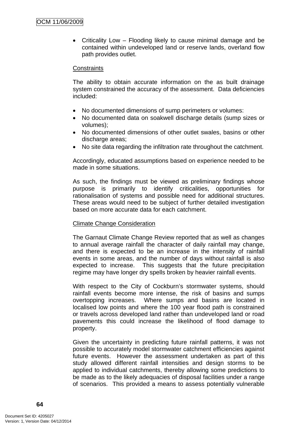• Criticality Low – Flooding likely to cause minimal damage and be contained within undeveloped land or reserve lands, overland flow path provides outlet.

#### **Constraints**

The ability to obtain accurate information on the as built drainage system constrained the accuracy of the assessment. Data deficiencies included:

- No documented dimensions of sump perimeters or volumes:
- No documented data on soakwell discharge details (sump sizes or volumes);
- No documented dimensions of other outlet swales, basins or other discharge areas;
- No site data regarding the infiltration rate throughout the catchment.

Accordingly, educated assumptions based on experience needed to be made in some situations.

As such, the findings must be viewed as preliminary findings whose purpose is primarily to identify criticalities, opportunities for rationalisation of systems and possible need for additional structures. These areas would need to be subject of further detailed investigation based on more accurate data for each catchment.

#### Climate Change Consideration

The Garnaut Climate Change Review reported that as well as changes to annual average rainfall the character of daily rainfall may change, and there is expected to be an increase in the intensity of rainfall events in some areas, and the number of days without rainfall is also expected to increase. This suggests that the future precipitation regime may have longer dry spells broken by heavier rainfall events.

With respect to the City of Cockburn's stormwater systems, should rainfall events become more intense, the risk of basins and sumps overtopping increases. Where sumps and basins are located in localised low points and where the 100 year flood path is constrained or travels across developed land rather than undeveloped land or road pavements this could increase the likelihood of flood damage to property.

Given the uncertainty in predicting future rainfall patterns, it was not possible to accurately model stormwater catchment efficiencies against future events. However the assessment undertaken as part of this study allowed different rainfall intensities and design storms to be applied to individual catchments, thereby allowing some predictions to be made as to the likely adequacies of disposal facilities under a range of scenarios. This provided a means to assess potentially vulnerable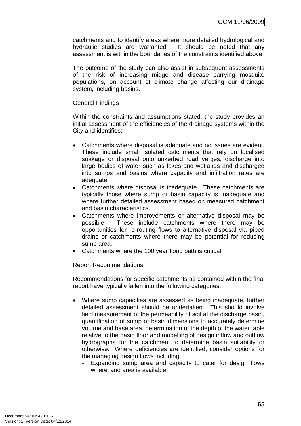catchments and to identify areas where more detailed hydrological and hydraulic studies are warranted. It should be noted that any assessment is within the boundaries of the constraints identified above.

The outcome of the study can also assist in subsequent assessments of the risk of increasing midge and disease carrying mosquito populations, on account of climate change affecting our drainage system, including basins.

## General Findings

Within the constraints and assumptions stated, the study provides an initial assessment of the efficiencies of the drainage systems within the City and identifies:

- Catchments where disposal is adequate and no issues are evident. These include small isolated catchments that rely on localised soakage or disposal onto unkerbed road verges, discharge into large bodies of water such as lakes and wetlands and discharged into sumps and basins where capacity and infiltration rates are adequate.
- Catchments where disposal is inadequate. These catchments are typically those where sump or basin capacity is inadequate and where further detailed assessment based on measured catchment and basin characteristics.
- Catchments where improvements or alternative disposal may be possible. These include catchments where there may be opportunities for re-routing flows to alternative disposal via piped drains or catchments where there may be potential for reducing sump area.
- Catchments where the 100 year flood path is critical.

#### Report Recommendations

Recommendations for specific catchments as contained within the final report have typically fallen into the following categories:

- Where sump capacities are assessed as being inadequate, further detailed assessment should be undertaken. This should involve field measurement of the permeability of soil at the discharge basin, quantification of sump or basin dimensions to accurately determine volume and base area, determination of the depth of the water table relative to the basin floor and modelling of design inflow and outflow hydrographs for the catchment to determine basin suitability or otherwise. Where deficiencies are identified, consider options for the managing design flows including:
	- Expanding sump area and capacity to cater for design flows where land area is available;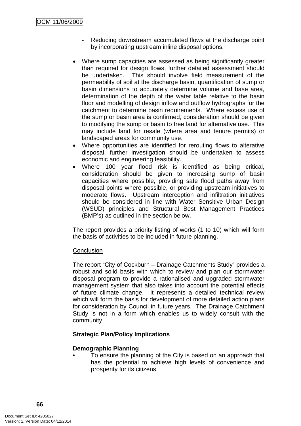- Reducing downstream accumulated flows at the discharge point by incorporating upstream inline disposal options.
- Where sump capacities are assessed as being significantly greater than required for design flows, further detailed assessment should be undertaken. This should involve field measurement of the permeability of soil at the discharge basin, quantification of sump or basin dimensions to accurately determine volume and base area, determination of the depth of the water table relative to the basin floor and modelling of design inflow and outflow hydrographs for the catchment to determine basin requirements. Where excess use of the sump or basin area is confirmed, consideration should be given to modifying the sump or basin to free land for alternative use. This may include land for resale (where area and tenure permits) or landscaped areas for community use.
- Where opportunities are identified for rerouting flows to alterative disposal, further investigation should be undertaken to assess economic and engineering feasibility.
- Where 100 year flood risk is identified as being critical, consideration should be given to increasing sump of basin capacities where possible, providing safe flood paths away from disposal points where possible, or providing upstream initiatives to moderate flows. Upstream interception and infiltration initiatives should be considered in line with Water Sensitive Urban Design (WSUD) principles and Structural Best Management Practices (BMP's) as outlined in the section below.

The report provides a priority listing of works (1 to 10) which will form the basis of activities to be included in future planning.

#### **Conclusion**

The report "City of Cockburn – Drainage Catchments Study" provides a robust and solid basis with which to review and plan our stormwater disposal program to provide a rationalised and upgraded stormwater management system that also takes into account the potential effects of future climate change. It represents a detailed technical review which will form the basis for development of more detailed action plans for consideration by Council in future years. The Drainage Catchment Study is not in a form which enables us to widely consult with the community.

#### **Strategic Plan/Policy Implications**

#### **Demographic Planning**

• To ensure the planning of the City is based on an approach that has the potential to achieve high levels of convenience and prosperity for its citizens.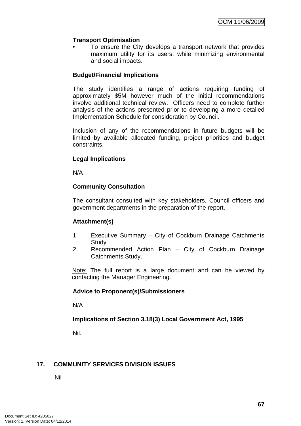# **Transport Optimisation**

To ensure the City develops a transport network that provides maximum utility for its users, while minimizing environmental and social impacts.

#### **Budget/Financial Implications**

The study identifies a range of actions requiring funding of approximately \$5M however much of the initial recommendations involve additional technical review. Officers need to complete further analysis of the actions presented prior to developing a more detailed Implementation Schedule for consideration by Council.

Inclusion of any of the recommendations in future budgets will be limited by available allocated funding, project priorities and budget constraints.

#### **Legal Implications**

N/A

## **Community Consultation**

The consultant consulted with key stakeholders, Council officers and government departments in the preparation of the report.

#### **Attachment(s)**

- 1. Executive Summary City of Cockburn Drainage Catchments **Study**
- 2. Recommended Action Plan City of Cockburn Drainage Catchments Study.

Note: The full report is a large document and can be viewed by contacting the Manager Engineering.

# **Advice to Proponent(s)/Submissioners**

N/A

**Implications of Section 3.18(3) Local Government Act, 1995**

Nil.

# **17. COMMUNITY SERVICES DIVISION ISSUES**

Nil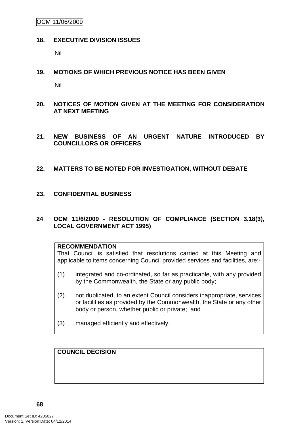OCM 11/06/2009

#### **18. EXECUTIVE DIVISION ISSUES**

Nil

**19. MOTIONS OF WHICH PREVIOUS NOTICE HAS BEEN GIVEN** 

Nil

- **20. NOTICES OF MOTION GIVEN AT THE MEETING FOR CONSIDERATION AT NEXT MEETING**
- **21. NEW BUSINESS OF AN URGENT NATURE INTRODUCED BY COUNCILLORS OR OFFICERS**
- **22. MATTERS TO BE NOTED FOR INVESTIGATION, WITHOUT DEBATE**
- **23. CONFIDENTIAL BUSINESS**
- **24 OCM 11/6/2009 RESOLUTION OF COMPLIANCE (SECTION 3.18(3), LOCAL GOVERNMENT ACT 1995)**

## **RECOMMENDATION**

That Council is satisfied that resolutions carried at this Meeting and applicable to items concerning Council provided services and facilities, are:-

- (1) integrated and co-ordinated, so far as practicable, with any provided by the Commonwealth, the State or any public body;
- (2) not duplicated, to an extent Council considers inappropriate, services or facilities as provided by the Commonwealth, the State or any other body or person, whether public or private; and
- (3) managed efficiently and effectively.

**COUNCIL DECISION**